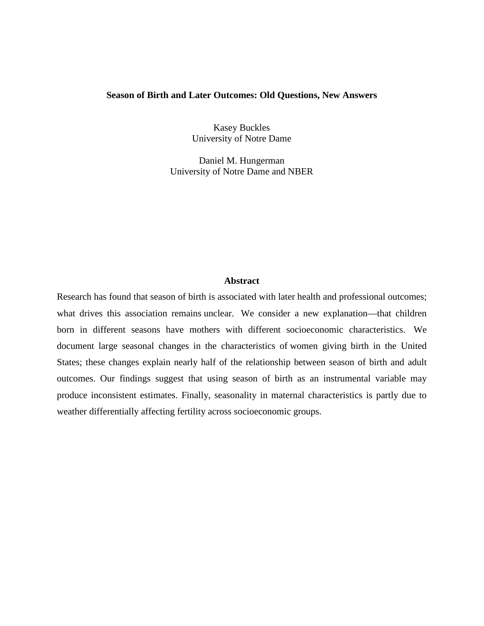#### **Season of Birth and Later Outcomes: Old Questions, New Answers**

Kasey Buckles University of Notre Dame

Daniel M. Hungerman University of Notre Dame and NBER

#### **Abstract**

Research has found that season of birth is associated with later health and professional outcomes; what drives this association remains unclear. We consider a new explanation—that children born in different seasons have mothers with different socioeconomic characteristics. We document large seasonal changes in the characteristics of women giving birth in the United States; these changes explain nearly half of the relationship between season of birth and adult outcomes. Our findings suggest that using season of birth as an instrumental variable may produce inconsistent estimates. Finally, seasonality in maternal characteristics is partly due to weather differentially affecting fertility across socioeconomic groups.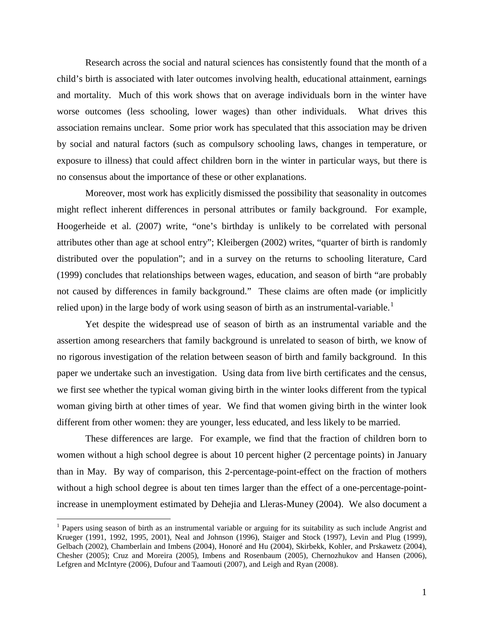Research across the social and natural sciences has consistently found that the month of a child's birth is associated with later outcomes involving health, educational attainment, earnings and mortality. Much of this work shows that on average individuals born in the winter have worse outcomes (less schooling, lower wages) than other individuals. What drives this association remains unclear. Some prior work has speculated that this association may be driven by social and natural factors (such as compulsory schooling laws, changes in temperature, or exposure to illness) that could affect children born in the winter in particular ways, but there is no consensus about the importance of these or other explanations.

Moreover, most work has explicitly dismissed the possibility that seasonality in outcomes might reflect inherent differences in personal attributes or family background. For example, Hoogerheide et al. (2007) write, "one's birthday is unlikely to be correlated with personal attributes other than age at school entry"; Kleibergen (2002) writes, "quarter of birth is randomly distributed over the population"; and in a survey on the returns to schooling literature, Card (1999) concludes that relationships between wages, education, and season of birth "are probably not caused by differences in family background." These claims are often made (or implicitly relied upon) in the large body of work using season of birth as an instrumental-variable.<sup>[1](#page-1-0)</sup>

Yet despite the widespread use of season of birth as an instrumental variable and the assertion among researchers that family background is unrelated to season of birth, we know of no rigorous investigation of the relation between season of birth and family background. In this paper we undertake such an investigation. Using data from live birth certificates and the census, we first see whether the typical woman giving birth in the winter looks different from the typical woman giving birth at other times of year. We find that women giving birth in the winter look different from other women: they are younger, less educated, and less likely to be married.

These differences are large. For example, we find that the fraction of children born to women without a high school degree is about 10 percent higher (2 percentage points) in January than in May. By way of comparison, this 2-percentage-point-effect on the fraction of mothers without a high school degree is about ten times larger than the effect of a one-percentage-pointincrease in unemployment estimated by Dehejia and Lleras-Muney (2004). We also document a

<span id="page-1-0"></span> $<sup>1</sup>$  Papers using season of birth as an instrumental variable or arguing for its suitability as such include Angrist and</sup> Krueger (1991, 1992, 1995, 2001), Neal and Johnson (1996), Staiger and Stock (1997), Levin and Plug (1999), Gelbach (2002), Chamberlain and Imbens (2004), Honoré and Hu (2004), Skirbekk, Kohler, and Prskawetz (2004), Chesher (2005); Cruz and Moreira (2005), Imbens and Rosenbaum (2005), Chernozhukov and Hansen (2006), Lefgren and McIntyre (2006), Dufour and Taamouti (2007), and Leigh and Ryan (2008).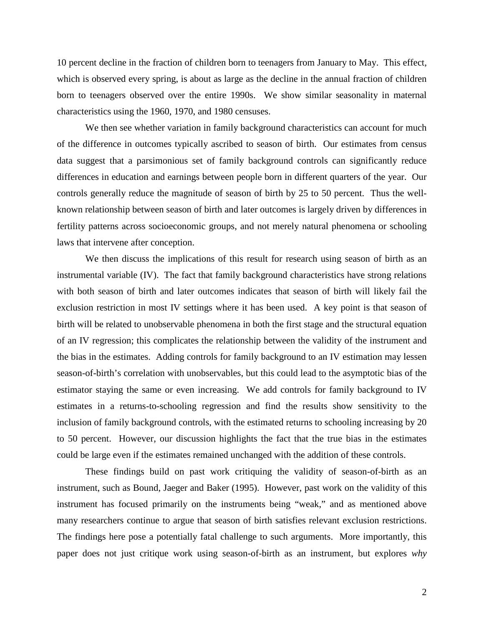10 percent decline in the fraction of children born to teenagers from January to May. This effect, which is observed every spring, is about as large as the decline in the annual fraction of children born to teenagers observed over the entire 1990s. We show similar seasonality in maternal characteristics using the 1960, 1970, and 1980 censuses.

We then see whether variation in family background characteristics can account for much of the difference in outcomes typically ascribed to season of birth. Our estimates from census data suggest that a parsimonious set of family background controls can significantly reduce differences in education and earnings between people born in different quarters of the year. Our controls generally reduce the magnitude of season of birth by 25 to 50 percent. Thus the wellknown relationship between season of birth and later outcomes is largely driven by differences in fertility patterns across socioeconomic groups, and not merely natural phenomena or schooling laws that intervene after conception.

We then discuss the implications of this result for research using season of birth as an instrumental variable (IV). The fact that family background characteristics have strong relations with both season of birth and later outcomes indicates that season of birth will likely fail the exclusion restriction in most IV settings where it has been used. A key point is that season of birth will be related to unobservable phenomena in both the first stage and the structural equation of an IV regression; this complicates the relationship between the validity of the instrument and the bias in the estimates. Adding controls for family background to an IV estimation may lessen season-of-birth's correlation with unobservables, but this could lead to the asymptotic bias of the estimator staying the same or even increasing. We add controls for family background to IV estimates in a returns-to-schooling regression and find the results show sensitivity to the inclusion of family background controls, with the estimated returns to schooling increasing by 20 to 50 percent. However, our discussion highlights the fact that the true bias in the estimates could be large even if the estimates remained unchanged with the addition of these controls.

These findings build on past work critiquing the validity of season-of-birth as an instrument, such as Bound, Jaeger and Baker (1995). However, past work on the validity of this instrument has focused primarily on the instruments being "weak," and as mentioned above many researchers continue to argue that season of birth satisfies relevant exclusion restrictions. The findings here pose a potentially fatal challenge to such arguments. More importantly, this paper does not just critique work using season-of-birth as an instrument, but explores *why*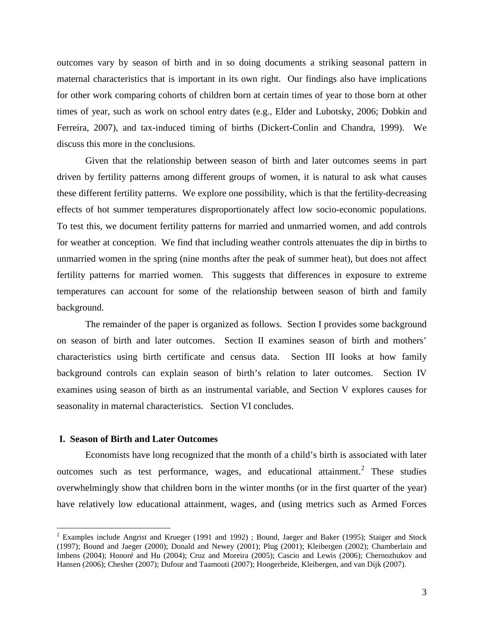outcomes vary by season of birth and in so doing documents a striking seasonal pattern in maternal characteristics that is important in its own right. Our findings also have implications for other work comparing cohorts of children born at certain times of year to those born at other times of year, such as work on school entry dates (e.g., Elder and Lubotsky, 2006; Dobkin and Ferreira, 2007), and tax-induced timing of births (Dickert-Conlin and Chandra, 1999). We discuss this more in the conclusions.

Given that the relationship between season of birth and later outcomes seems in part driven by fertility patterns among different groups of women, it is natural to ask what causes these different fertility patterns. We explore one possibility, which is that the fertility-decreasing effects of hot summer temperatures disproportionately affect low socio-economic populations. To test this, we document fertility patterns for married and unmarried women, and add controls for weather at conception. We find that including weather controls attenuates the dip in births to unmarried women in the spring (nine months after the peak of summer heat), but does not affect fertility patterns for married women. This suggests that differences in exposure to extreme temperatures can account for some of the relationship between season of birth and family background.

The remainder of the paper is organized as follows. Section I provides some background on season of birth and later outcomes. Section II examines season of birth and mothers' characteristics using birth certificate and census data. Section III looks at how family background controls can explain season of birth's relation to later outcomes. Section IV examines using season of birth as an instrumental variable, and Section V explores causes for seasonality in maternal characteristics. Section VI concludes.

# **I. Season of Birth and Later Outcomes**

Economists have long recognized that the month of a child's birth is associated with later outcomes such as test performance, wages, and educational attainment.<sup>[2](#page-3-0)</sup> These studies overwhelmingly show that children born in the winter months (or in the first quarter of the year) have relatively low educational attainment, wages, and (using metrics such as Armed Forces

<span id="page-3-0"></span> <sup>2</sup> Examples include Angrist and Krueger (1991 and 1992) ; Bound, Jaeger and Baker (1995); Staiger and Stock (1997); Bound and Jaeger (2000); Donald and Newey (2001); Plug (2001); Kleibergen (2002); Chamberlain and Imbens (2004); Honoré and Hu (2004); Cruz and Moreira (2005); Cascio and Lewis (2006); Chernozhukov and Hansen (2006); Chesher (2007); Dufour and Taamouti (2007); Hoogerheide, Kleibergen, and van Dijk (2007).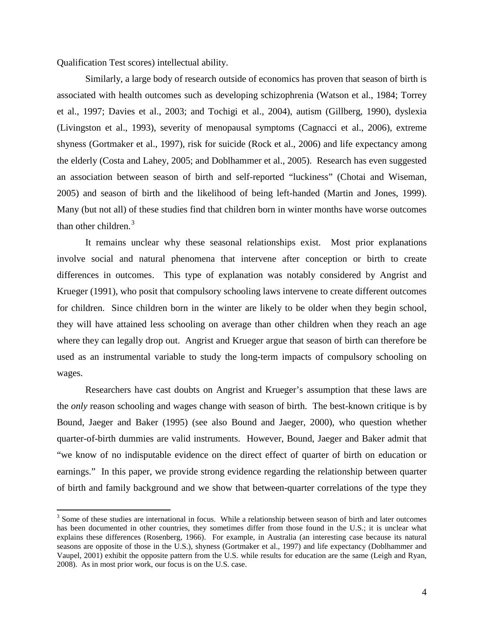Qualification Test scores) intellectual ability.

Similarly, a large body of research outside of economics has proven that season of birth is associated with health outcomes such as developing schizophrenia (Watson et al., 1984; Torrey et al., 1997; Davies et al., 2003; and Tochigi et al., 2004), autism (Gillberg, 1990), dyslexia (Livingston et al., 1993), severity of menopausal symptoms (Cagnacci et al., 2006), extreme shyness (Gortmaker et al., 1997), risk for suicide (Rock et al., 2006) and life expectancy among the elderly (Costa and Lahey, 2005; and Doblhammer et al., 2005). Research has even suggested an association between season of birth and self-reported "luckiness" (Chotai and Wiseman, 2005) and season of birth and the likelihood of being left-handed (Martin and Jones, 1999). Many (but not all) of these studies find that children born in winter months have worse outcomes than other children.<sup>[3](#page-4-0)</sup>

It remains unclear why these seasonal relationships exist. Most prior explanations involve social and natural phenomena that intervene after conception or birth to create differences in outcomes. This type of explanation was notably considered by Angrist and Krueger (1991), who posit that compulsory schooling laws intervene to create different outcomes for children. Since children born in the winter are likely to be older when they begin school, they will have attained less schooling on average than other children when they reach an age where they can legally drop out. Angrist and Krueger argue that season of birth can therefore be used as an instrumental variable to study the long-term impacts of compulsory schooling on wages.

Researchers have cast doubts on Angrist and Krueger's assumption that these laws are the *only* reason schooling and wages change with season of birth. The best-known critique is by Bound, Jaeger and Baker (1995) (see also Bound and Jaeger, 2000), who question whether quarter-of-birth dummies are valid instruments. However, Bound, Jaeger and Baker admit that "we know of no indisputable evidence on the direct effect of quarter of birth on education or earnings." In this paper, we provide strong evidence regarding the relationship between quarter of birth and family background and we show that between-quarter correlations of the type they

<span id="page-4-0"></span><sup>&</sup>lt;sup>3</sup> Some of these studies are international in focus. While a relationship between season of birth and later outcomes has been documented in other countries, they sometimes differ from those found in the U.S.; it is unclear what explains these differences (Rosenberg, 1966). For example, in Australia (an interesting case because its natural seasons are opposite of those in the U.S.), shyness (Gortmaker et al., 1997) and life expectancy (Doblhammer and Vaupel, 2001) exhibit the opposite pattern from the U.S. while results for education are the same (Leigh and Ryan, 2008). As in most prior work, our focus is on the U.S. case.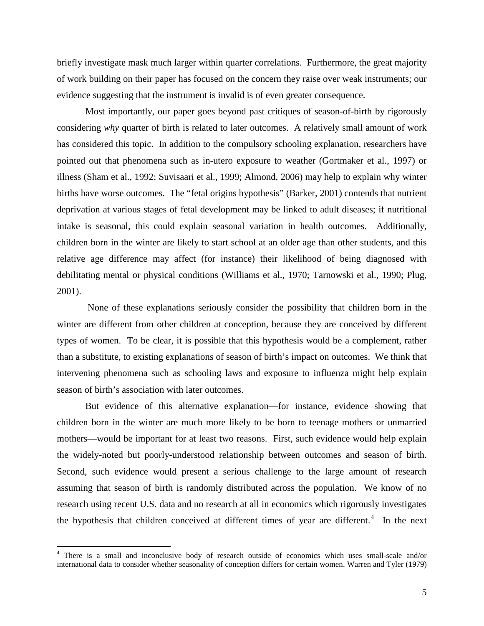briefly investigate mask much larger within quarter correlations. Furthermore, the great majority of work building on their paper has focused on the concern they raise over weak instruments; our evidence suggesting that the instrument is invalid is of even greater consequence.

Most importantly, our paper goes beyond past critiques of season-of-birth by rigorously considering *why* quarter of birth is related to later outcomes. A relatively small amount of work has considered this topic. In addition to the compulsory schooling explanation, researchers have pointed out that phenomena such as in-utero exposure to weather (Gortmaker et al., 1997) or illness (Sham et al., 1992; Suvisaari et al., 1999; Almond, 2006) may help to explain why winter births have worse outcomes. The "fetal origins hypothesis" (Barker, 2001) contends that nutrient deprivation at various stages of fetal development may be linked to adult diseases; if nutritional intake is seasonal, this could explain seasonal variation in health outcomes. Additionally, children born in the winter are likely to start school at an older age than other students, and this relative age difference may affect (for instance) their likelihood of being diagnosed with debilitating mental or physical conditions (Williams et al., 1970; Tarnowski et al., 1990; Plug, 2001).

None of these explanations seriously consider the possibility that children born in the winter are different from other children at conception, because they are conceived by different types of women. To be clear, it is possible that this hypothesis would be a complement, rather than a substitute, to existing explanations of season of birth's impact on outcomes. We think that intervening phenomena such as schooling laws and exposure to influenza might help explain season of birth's association with later outcomes.

But evidence of this alternative explanation—for instance, evidence showing that children born in the winter are much more likely to be born to teenage mothers or unmarried mothers—would be important for at least two reasons. First, such evidence would help explain the widely-noted but poorly-understood relationship between outcomes and season of birth. Second, such evidence would present a serious challenge to the large amount of research assuming that season of birth is randomly distributed across the population. We know of no research using recent U.S. data and no research at all in economics which rigorously investigates the hypothesis that children conceived at different times of year are different. $4\;$  $4\;$  In the next

<span id="page-5-0"></span> <sup>4</sup> There is a small and inconclusive body of research outside of economics which uses small-scale and/or international data to consider whether seasonality of conception differs for certain women. Warren and Tyler (1979)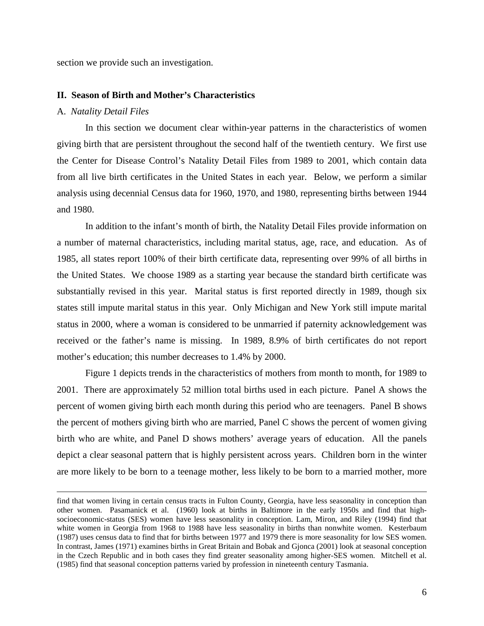section we provide such an investigation.

#### **II. Season of Birth and Mother's Characteristics**

#### A. *Natality Detail Files*

 $\overline{a}$ 

In this section we document clear within-year patterns in the characteristics of women giving birth that are persistent throughout the second half of the twentieth century. We first use the Center for Disease Control's Natality Detail Files from 1989 to 2001, which contain data from all live birth certificates in the United States in each year. Below, we perform a similar analysis using decennial Census data for 1960, 1970, and 1980, representing births between 1944 and 1980.

In addition to the infant's month of birth, the Natality Detail Files provide information on a number of maternal characteristics, including marital status, age, race, and education. As of 1985, all states report 100% of their birth certificate data, representing over 99% of all births in the United States. We choose 1989 as a starting year because the standard birth certificate was substantially revised in this year. Marital status is first reported directly in 1989, though six states still impute marital status in this year. Only Michigan and New York still impute marital status in 2000, where a woman is considered to be unmarried if paternity acknowledgement was received or the father's name is missing. In 1989, 8.9% of birth certificates do not report mother's education; this number decreases to 1.4% by 2000.

Figure 1 depicts trends in the characteristics of mothers from month to month, for 1989 to 2001. There are approximately 52 million total births used in each picture. Panel A shows the percent of women giving birth each month during this period who are teenagers. Panel B shows the percent of mothers giving birth who are married, Panel C shows the percent of women giving birth who are white, and Panel D shows mothers' average years of education. All the panels depict a clear seasonal pattern that is highly persistent across years. Children born in the winter are more likely to be born to a teenage mother, less likely to be born to a married mother, more

find that women living in certain census tracts in Fulton County, Georgia, have less seasonality in conception than other women. Pasamanick et al. (1960) look at births in Baltimore in the early 1950s and find that highsocioeconomic-status (SES) women have less seasonality in conception. Lam, Miron, and Riley (1994) find that white women in Georgia from 1968 to 1988 have less seasonality in births than nonwhite women. Kesterbaum (1987) uses census data to find that for births between 1977 and 1979 there is more seasonality for low SES women. In contrast, James (1971) examines births in Great Britain and Bobak and Gjonca (2001) look at seasonal conception in the Czech Republic and in both cases they find greater seasonality among higher-SES women. Mitchell et al. (1985) find that seasonal conception patterns varied by profession in nineteenth century Tasmania.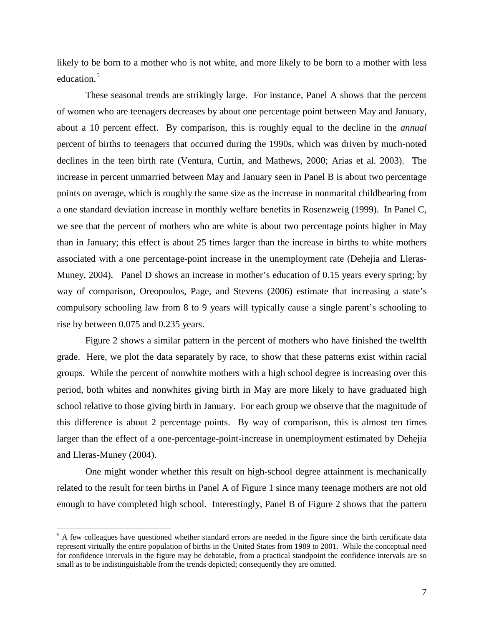likely to be born to a mother who is not white, and more likely to be born to a mother with less education. [5](#page-7-0)

These seasonal trends are strikingly large. For instance, Panel A shows that the percent of women who are teenagers decreases by about one percentage point between May and January, about a 10 percent effect. By comparison, this is roughly equal to the decline in the *annual* percent of births to teenagers that occurred during the 1990s, which was driven by much-noted declines in the teen birth rate (Ventura, Curtin, and Mathews, 2000; Arias et al. 2003). The increase in percent unmarried between May and January seen in Panel B is about two percentage points on average, which is roughly the same size as the increase in nonmarital childbearing from a one standard deviation increase in monthly welfare benefits in Rosenzweig (1999). In Panel C, we see that the percent of mothers who are white is about two percentage points higher in May than in January; this effect is about 25 times larger than the increase in births to white mothers associated with a one percentage-point increase in the unemployment rate (Dehejia and Lleras-Muney, 2004). Panel D shows an increase in mother's education of 0.15 years every spring; by way of comparison, Oreopoulos, Page, and Stevens (2006) estimate that increasing a state's compulsory schooling law from 8 to 9 years will typically cause a single parent's schooling to rise by between 0.075 and 0.235 years.

Figure 2 shows a similar pattern in the percent of mothers who have finished the twelfth grade. Here, we plot the data separately by race, to show that these patterns exist within racial groups. While the percent of nonwhite mothers with a high school degree is increasing over this period, both whites and nonwhites giving birth in May are more likely to have graduated high school relative to those giving birth in January. For each group we observe that the magnitude of this difference is about 2 percentage points. By way of comparison, this is almost ten times larger than the effect of a one-percentage-point-increase in unemployment estimated by Dehejia and Lleras-Muney (2004).

One might wonder whether this result on high-school degree attainment is mechanically related to the result for teen births in Panel A of Figure 1 since many teenage mothers are not old enough to have completed high school. Interestingly, Panel B of Figure 2 shows that the pattern

<span id="page-7-0"></span><sup>&</sup>lt;sup>5</sup> A few colleagues have questioned whether standard errors are needed in the figure since the birth certificate data represent virtually the entire population of births in the United States from 1989 to 2001. While the conceptual need for confidence intervals in the figure may be debatable, from a practical standpoint the confidence intervals are so small as to be indistinguishable from the trends depicted; consequently they are omitted.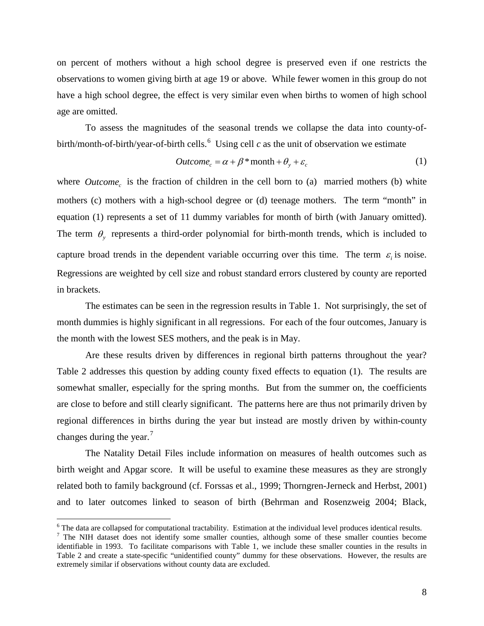on percent of mothers without a high school degree is preserved even if one restricts the observations to women giving birth at age 19 or above. While fewer women in this group do not have a high school degree, the effect is very similar even when births to women of high school age are omitted.

To assess the magnitudes of the seasonal trends we collapse the data into county-of-birth/month-of-birth/year-of-birth cells.<sup>[6](#page-8-0)</sup> Using cell  $c$  as the unit of observation we estimate

$$
Outcome_c = \alpha + \beta * month + \theta_y + \varepsilon_c \tag{1}
$$

where *Outcome<sub>c</sub>* is the fraction of children in the cell born to (a) married mothers (b) white mothers (c) mothers with a high-school degree or (d) teenage mothers. The term "month" in equation (1) represents a set of 11 dummy variables for month of birth (with January omitted). The term  $\theta$ , represents a third-order polynomial for birth-month trends, which is included to capture broad trends in the dependent variable occurring over this time. The term  $\varepsilon$  is noise. Regressions are weighted by cell size and robust standard errors clustered by county are reported in brackets.

The estimates can be seen in the regression results in Table 1. Not surprisingly, the set of month dummies is highly significant in all regressions. For each of the four outcomes, January is the month with the lowest SES mothers, and the peak is in May.

Are these results driven by differences in regional birth patterns throughout the year? Table 2 addresses this question by adding county fixed effects to equation (1). The results are somewhat smaller, especially for the spring months. But from the summer on, the coefficients are close to before and still clearly significant. The patterns here are thus not primarily driven by regional differences in births during the year but instead are mostly driven by within-county changes during the year.<sup>[7](#page-8-1)</sup>

The Natality Detail Files include information on measures of health outcomes such as birth weight and Apgar score. It will be useful to examine these measures as they are strongly related both to family background (cf. Forssas et al., 1999; Thorngren-Jerneck and Herbst, 2001) and to later outcomes linked to season of birth (Behrman and Rosenzweig 2004; Black,

<span id="page-8-1"></span>

<span id="page-8-0"></span> $\frac{6}{7}$  The data are collapsed for computational tractability. Estimation at the individual level produces identical results.<br>The NIH dataset does not identify some smaller counties, although some of these smaller count identifiable in 1993. To facilitate comparisons with Table 1, we include these smaller counties in the results in Table 2 and create a state-specific "unidentified county" dummy for these observations. However, the results are extremely similar if observations without county data are excluded.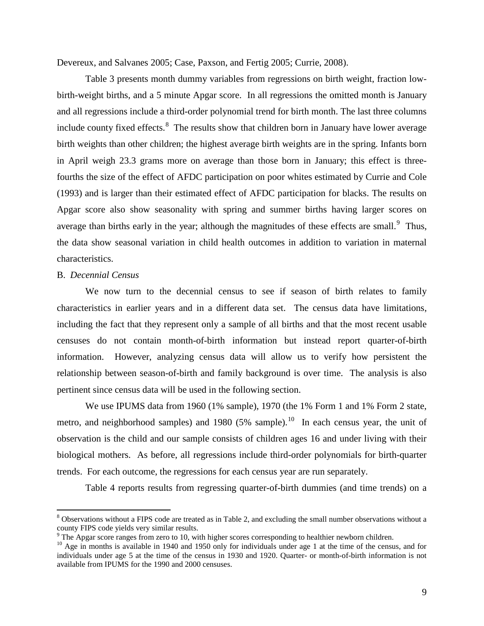Devereux, and Salvanes 2005; Case, Paxson, and Fertig 2005; Currie, 2008).

Table 3 presents month dummy variables from regressions on birth weight, fraction lowbirth-weight births, and a 5 minute Apgar score. In all regressions the omitted month is January and all regressions include a third-order polynomial trend for birth month. The last three columns include county fixed effects.<sup>[8](#page-9-0)</sup> The results show that children born in January have lower average birth weights than other children; the highest average birth weights are in the spring. Infants born in April weigh 23.3 grams more on average than those born in January; this effect is threefourths the size of the effect of AFDC participation on poor whites estimated by Currie and Cole (1993) and is larger than their estimated effect of AFDC participation for blacks. The results on Apgar score also show seasonality with spring and summer births having larger scores on average than births early in the year; although the magnitudes of these effects are small.<sup>[9](#page-9-1)</sup> Thus, the data show seasonal variation in child health outcomes in addition to variation in maternal characteristics.

# B. *Decennial Census*

We now turn to the decennial census to see if season of birth relates to family characteristics in earlier years and in a different data set. The census data have limitations, including the fact that they represent only a sample of all births and that the most recent usable censuses do not contain month-of-birth information but instead report quarter-of-birth information. However, analyzing census data will allow us to verify how persistent the relationship between season-of-birth and family background is over time. The analysis is also pertinent since census data will be used in the following section.

We use IPUMS data from 1960 (1% sample), 1970 (the 1% Form 1 and 1% Form 2 state, metro, and neighborhood samples) and 1980 (5% sample).<sup>[10](#page-9-2)</sup> In each census year, the unit of observation is the child and our sample consists of children ages 16 and under living with their biological mothers. As before, all regressions include third-order polynomials for birth-quarter trends. For each outcome, the regressions for each census year are run separately.

Table 4 reports results from regressing quarter-of-birth dummies (and time trends) on a

<span id="page-9-0"></span><sup>&</sup>lt;sup>8</sup> Observations without a FIPS code are treated as in Table 2, and excluding the small number observations without a county FIPS code yields very similar results.

<span id="page-9-1"></span> $9$  The Apgar score ranges from zero to 10, with higher scores corresponding to healthier newborn children.

<span id="page-9-2"></span><sup>&</sup>lt;sup>10</sup> Age in months is available in 1940 and 1950 only for individuals under age 1 at the time of the census, and for individuals under age 5 at the time of the census in 1930 and 1920. Quarter- or month-of-birth information is not available from IPUMS for the 1990 and 2000 censuses.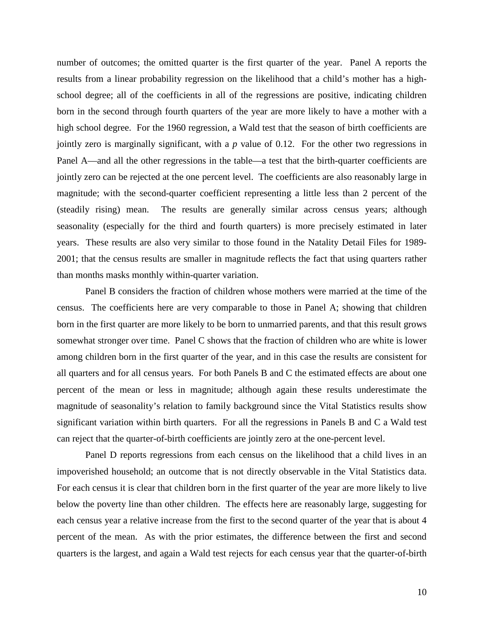number of outcomes; the omitted quarter is the first quarter of the year. Panel A reports the results from a linear probability regression on the likelihood that a child's mother has a highschool degree; all of the coefficients in all of the regressions are positive, indicating children born in the second through fourth quarters of the year are more likely to have a mother with a high school degree. For the 1960 regression, a Wald test that the season of birth coefficients are jointly zero is marginally significant, with a *p* value of 0.12. For the other two regressions in Panel A—and all the other regressions in the table—a test that the birth-quarter coefficients are jointly zero can be rejected at the one percent level. The coefficients are also reasonably large in magnitude; with the second-quarter coefficient representing a little less than 2 percent of the (steadily rising) mean. The results are generally similar across census years; although seasonality (especially for the third and fourth quarters) is more precisely estimated in later years. These results are also very similar to those found in the Natality Detail Files for 1989- 2001; that the census results are smaller in magnitude reflects the fact that using quarters rather than months masks monthly within-quarter variation.

Panel B considers the fraction of children whose mothers were married at the time of the census. The coefficients here are very comparable to those in Panel A; showing that children born in the first quarter are more likely to be born to unmarried parents, and that this result grows somewhat stronger over time. Panel C shows that the fraction of children who are white is lower among children born in the first quarter of the year, and in this case the results are consistent for all quarters and for all census years. For both Panels B and C the estimated effects are about one percent of the mean or less in magnitude; although again these results underestimate the magnitude of seasonality's relation to family background since the Vital Statistics results show significant variation within birth quarters. For all the regressions in Panels B and C a Wald test can reject that the quarter-of-birth coefficients are jointly zero at the one-percent level.

Panel D reports regressions from each census on the likelihood that a child lives in an impoverished household; an outcome that is not directly observable in the Vital Statistics data. For each census it is clear that children born in the first quarter of the year are more likely to live below the poverty line than other children. The effects here are reasonably large, suggesting for each census year a relative increase from the first to the second quarter of the year that is about 4 percent of the mean. As with the prior estimates, the difference between the first and second quarters is the largest, and again a Wald test rejects for each census year that the quarter-of-birth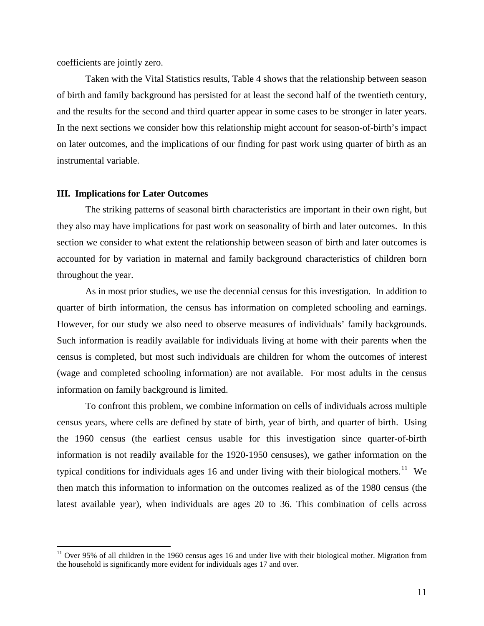coefficients are jointly zero.

Taken with the Vital Statistics results, Table 4 shows that the relationship between season of birth and family background has persisted for at least the second half of the twentieth century, and the results for the second and third quarter appear in some cases to be stronger in later years. In the next sections we consider how this relationship might account for season-of-birth's impact on later outcomes, and the implications of our finding for past work using quarter of birth as an instrumental variable.

#### **III. Implications for Later Outcomes**

The striking patterns of seasonal birth characteristics are important in their own right, but they also may have implications for past work on seasonality of birth and later outcomes. In this section we consider to what extent the relationship between season of birth and later outcomes is accounted for by variation in maternal and family background characteristics of children born throughout the year.

As in most prior studies, we use the decennial census for this investigation. In addition to quarter of birth information, the census has information on completed schooling and earnings. However, for our study we also need to observe measures of individuals' family backgrounds. Such information is readily available for individuals living at home with their parents when the census is completed, but most such individuals are children for whom the outcomes of interest (wage and completed schooling information) are not available. For most adults in the census information on family background is limited.

To confront this problem, we combine information on cells of individuals across multiple census years, where cells are defined by state of birth, year of birth, and quarter of birth. Using the 1960 census (the earliest census usable for this investigation since quarter-of-birth information is not readily available for the 1920-1950 censuses), we gather information on the typical conditions for individuals ages 16 and under living with their biological mothers.<sup>[11](#page-11-0)</sup> We then match this information to information on the outcomes realized as of the 1980 census (the latest available year), when individuals are ages 20 to 36. This combination of cells across

<span id="page-11-0"></span> $11$  Over 95% of all children in the 1960 census ages 16 and under live with their biological mother. Migration from the household is significantly more evident for individuals ages 17 and over.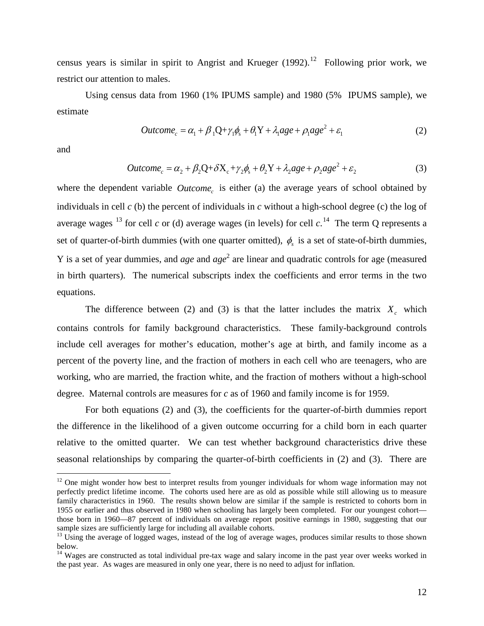census years is similar in spirit to Angrist and Krueger  $(1992)$ .<sup>[12](#page-12-0)</sup> Following prior work, we restrict our attention to males.

Using census data from 1960 (1% IPUMS sample) and 1980 (5% IPUMS sample), we estimate

$$
Outcome_c = \alpha_1 + \beta_1 Q + \gamma_1 \phi_s + \theta_1 Y + \lambda_1 age + \rho_1 age^2 + \varepsilon_1
$$
 (2)

and

$$
Outcome_c = \alpha_2 + \beta_2 Q + \delta X_c + \gamma_2 \phi_s + \theta_2 Y + \lambda_2 age + \rho_2 age^2 + \varepsilon_2
$$
\n(3)

where the dependent variable *Outcome<sub>c</sub>* is either (a) the average years of school obtained by individuals in cell *c* (b) the percent of individuals in *c* without a high-school degree (c) the log of average wages  $^{13}$  $^{13}$  $^{13}$  for cell *c* or (d) average wages (in levels) for cell *c*.<sup>[14](#page-12-2)</sup> The term Q represents a set of quarter-of-birth dummies (with one quarter omitted),  $\phi_s$  is a set of state-of-birth dummies, Y is a set of year dummies, and *age* and *age* <sup>2</sup> are linear and quadratic controls for age (measured in birth quarters). The numerical subscripts index the coefficients and error terms in the two equations.

The difference between (2) and (3) is that the latter includes the matrix  $X_c$  which contains controls for family background characteristics. These family-background controls include cell averages for mother's education, mother's age at birth, and family income as a percent of the poverty line, and the fraction of mothers in each cell who are teenagers, who are working, who are married, the fraction white, and the fraction of mothers without a high-school degree. Maternal controls are measures for *c* as of 1960 and family income is for 1959.

For both equations (2) and (3), the coefficients for the quarter-of-birth dummies report the difference in the likelihood of a given outcome occurring for a child born in each quarter relative to the omitted quarter. We can test whether background characteristics drive these seasonal relationships by comparing the quarter-of-birth coefficients in (2) and (3). There are

<span id="page-12-0"></span><sup>&</sup>lt;sup>12</sup> One might wonder how best to interpret results from younger individuals for whom wage information may not perfectly predict lifetime income. The cohorts used here are as old as possible while still allowing us to measure family characteristics in 1960. The results shown below are similar if the sample is restricted to cohorts born in 1955 or earlier and thus observed in 1980 when schooling has largely been completed. For our youngest cohort those born in 1960—87 percent of individuals on average report positive earnings in 1980, suggesting that our sample sizes are sufficiently large for including all available cohorts.

<span id="page-12-1"></span> $13$  Using the average of logged wages, instead of the log of average wages, produces similar results to those shown below.

<span id="page-12-2"></span><sup>&</sup>lt;sup>14</sup> Wages are constructed as total individual pre-tax wage and salary income in the past year over weeks worked in the past year. As wages are measured in only one year, there is no need to adjust for inflation.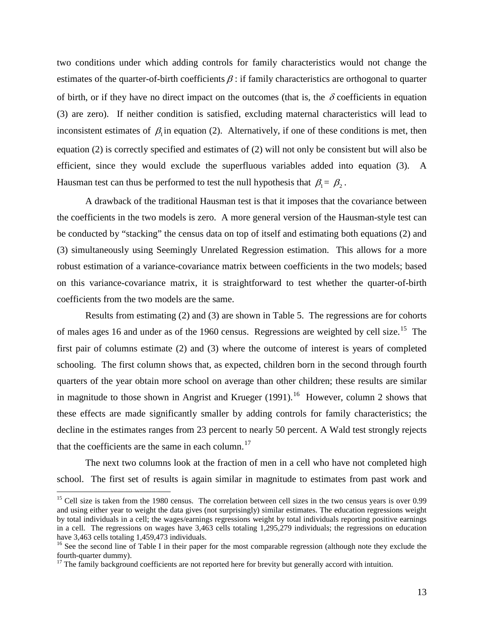two conditions under which adding controls for family characteristics would not change the estimates of the quarter-of-birth coefficients  $\beta$ : if family characteristics are orthogonal to quarter of birth, or if they have no direct impact on the outcomes (that is, the  $\delta$  coefficients in equation (3) are zero). If neither condition is satisfied, excluding maternal characteristics will lead to inconsistent estimates of  $\beta_1$  in equation (2). Alternatively, if one of these conditions is met, then equation (2) is correctly specified and estimates of (2) will not only be consistent but will also be efficient, since they would exclude the superfluous variables added into equation (3). A Hausman test can thus be performed to test the null hypothesis that  $\beta_1 = \beta_2$ .

A drawback of the traditional Hausman test is that it imposes that the covariance between the coefficients in the two models is zero. A more general version of the Hausman-style test can be conducted by "stacking" the census data on top of itself and estimating both equations (2) and (3) simultaneously using Seemingly Unrelated Regression estimation. This allows for a more robust estimation of a variance-covariance matrix between coefficients in the two models; based on this variance-covariance matrix, it is straightforward to test whether the quarter-of-birth coefficients from the two models are the same.

Results from estimating (2) and (3) are shown in Table 5. The regressions are for cohorts of males ages 16 and under as of the 1960 census. Regressions are weighted by cell size.<sup>15</sup> The first pair of columns estimate (2) and (3) where the outcome of interest is years of completed schooling. The first column shows that, as expected, children born in the second through fourth quarters of the year obtain more school on average than other children; these results are similar in magnitude to those shown in Angrist and Krueger  $(1991)$ .<sup>[16](#page-13-1)</sup> However, column 2 shows that these effects are made significantly smaller by adding controls for family characteristics; the decline in the estimates ranges from 23 percent to nearly 50 percent. A Wald test strongly rejects that the coefficients are the same in each column. $17$ 

The next two columns look at the fraction of men in a cell who have not completed high school. The first set of results is again similar in magnitude to estimates from past work and

<span id="page-13-0"></span><sup>&</sup>lt;sup>15</sup> Cell size is taken from the 1980 census. The correlation between cell sizes in the two census years is over 0.99 and using either year to weight the data gives (not surprisingly) similar estimates. The education regressions weight by total individuals in a cell; the wages/earnings regressions weight by total individuals reporting positive earnings in a cell. The regressions on wages have 3,463 cells totaling 1,295,279 individuals; the regressions on education have 3,463 cells totaling 1,459,473 individuals.

<span id="page-13-1"></span> $16$  See the second line of Table I in their paper for the most comparable regression (although note they exclude the fourth-quarter dummy).

<span id="page-13-2"></span> $17$  The family background coefficients are not reported here for brevity but generally accord with intuition.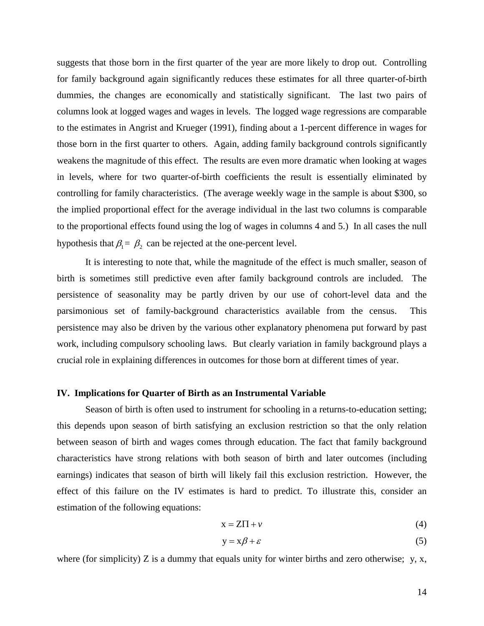suggests that those born in the first quarter of the year are more likely to drop out. Controlling for family background again significantly reduces these estimates for all three quarter-of-birth dummies, the changes are economically and statistically significant. The last two pairs of columns look at logged wages and wages in levels. The logged wage regressions are comparable to the estimates in Angrist and Krueger (1991), finding about a 1-percent difference in wages for those born in the first quarter to others. Again, adding family background controls significantly weakens the magnitude of this effect. The results are even more dramatic when looking at wages in levels, where for two quarter-of-birth coefficients the result is essentially eliminated by controlling for family characteristics. (The average weekly wage in the sample is about \$300, so the implied proportional effect for the average individual in the last two columns is comparable to the proportional effects found using the log of wages in columns 4 and 5.) In all cases the null hypothesis that  $\beta_1 = \beta_2$  can be rejected at the one-percent level.

It is interesting to note that, while the magnitude of the effect is much smaller, season of birth is sometimes still predictive even after family background controls are included. The persistence of seasonality may be partly driven by our use of cohort-level data and the parsimonious set of family-background characteristics available from the census. This persistence may also be driven by the various other explanatory phenomena put forward by past work, including compulsory schooling laws. But clearly variation in family background plays a crucial role in explaining differences in outcomes for those born at different times of year.

# **IV. Implications for Quarter of Birth as an Instrumental Variable**

Season of birth is often used to instrument for schooling in a returns-to-education setting; this depends upon season of birth satisfying an exclusion restriction so that the only relation between season of birth and wages comes through education. The fact that family background characteristics have strong relations with both season of birth and later outcomes (including earnings) indicates that season of birth will likely fail this exclusion restriction. However, the effect of this failure on the IV estimates is hard to predict. To illustrate this, consider an estimation of the following equations:

$$
x = Z\Pi + \nu \tag{4}
$$

$$
y = x\beta + \varepsilon \tag{5}
$$

where (for simplicity) Z is a dummy that equals unity for winter births and zero otherwise; y, x,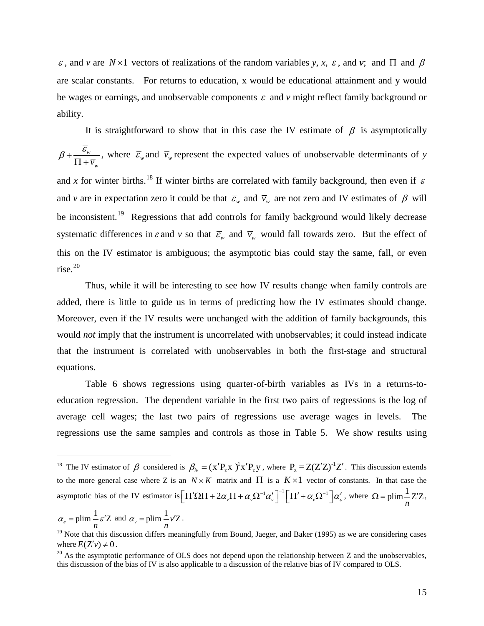ε, and *v* are  $N \times 1$  vectors of realizations of the random variables *y*, *x*, ε, and *v*; and Π and β are scalar constants. For returns to education, x would be educational attainment and y would be wages or earnings, and unobservable components  $\varepsilon$  and  $v$  might reflect family background or ability.

It is straightforward to show that in this case the IV estimate of  $\beta$  is asymptotically *w*  $\overline{v}_w$  $\beta + \frac{\varepsilon_w}{\Pi + \overline{v}_w}$ , where  $\overline{\varepsilon}_w$  and  $\overline{v}_w$  represent the expected values of unobservable determinants of *y* and *x* for winter births.<sup>[18](#page-15-0)</sup> If winter births are correlated with family background, then even if  $\varepsilon$ and *v* are in expectation zero it could be that  $\bar{\varepsilon}_{w}$  and  $\bar{v}_{w}$  are not zero and IV estimates of  $\beta$  will be inconsistent.<sup>[19](#page-15-1)</sup> Regressions that add controls for family background would likely decrease systematic differences in  $\varepsilon$  and  $v$  so that  $\overline{\varepsilon}_w$  and  $\overline{v}_w$  would fall towards zero. But the effect of this on the IV estimator is ambiguous; the asymptotic bias could stay the same, fall, or even  $rise.$ <sup>[20](#page-15-2)</sup>

Thus, while it will be interesting to see how IV results change when family controls are added, there is little to guide us in terms of predicting how the IV estimates should change. Moreover, even if the IV results were unchanged with the addition of family backgrounds, this would *not* imply that the instrument is uncorrelated with unobservables; it could instead indicate that the instrument is correlated with unobservables in both the first-stage and structural equations.

Table 6 shows regressions using quarter-of-birth variables as IVs in a returns-toeducation regression. The dependent variable in the first two pairs of regressions is the log of average cell wages; the last two pairs of regressions use average wages in levels. The regressions use the same samples and controls as those in Table 5. We show results using

$$
\alpha_{\varepsilon} = \text{plim} \frac{1}{n} \varepsilon' Z
$$
 and  $\alpha_{\nu} = \text{plim} \frac{1}{n} \nu' Z$ .

<span id="page-15-0"></span><sup>&</sup>lt;sup>18</sup> The IV estimator of  $\beta$  considered is  $\beta_{iv} = (x'P_zx)^{1}x'P_zy$ , where  $P_z = Z(Z'Z)^{-1}Z'$ . This discussion extends to the more general case where Z is an  $N \times K$  matrix and  $\Pi$  is a  $K \times 1$  vector of constants. In that case the asymptotic bias of the IV estimator is  $\left[\Pi'\Omega\Pi + 2\alpha_v\Pi + \alpha_v\Omega^{-1}\alpha_v'\right]^{-1}\left[\Pi' + \alpha_v\Omega^{-1}\right]\alpha_s'$ , where  $\Omega = \text{plim}\frac{1}{n}Z'Z$  $\Omega = \text{plim} - Z'Z$ ,

<span id="page-15-1"></span><sup>&</sup>lt;sup>19</sup> Note that this discussion differs meaningfully from Bound, Jaeger, and Baker (1995) as we are considering cases where  $E(Z'v) \neq 0$ .<br><sup>20</sup> As the asymptotic performance of OLS does not depend upon the relationship between Z and the unobservables,

<span id="page-15-2"></span>this discussion of the bias of IV is also applicable to a discussion of the relative bias of IV compared to OLS.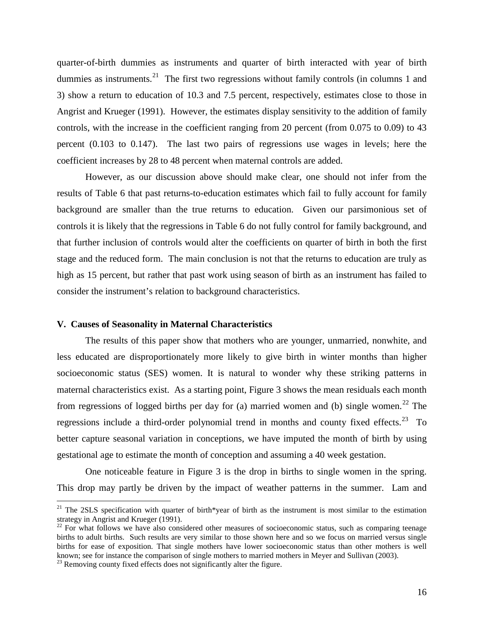quarter-of-birth dummies as instruments and quarter of birth interacted with year of birth dummies as instruments.<sup>[21](#page-16-0)</sup> The first two regressions without family controls (in columns 1 and 3) show a return to education of 10.3 and 7.5 percent, respectively, estimates close to those in Angrist and Krueger (1991). However, the estimates display sensitivity to the addition of family controls, with the increase in the coefficient ranging from 20 percent (from 0.075 to 0.09) to 43 percent (0.103 to 0.147). The last two pairs of regressions use wages in levels; here the coefficient increases by 28 to 48 percent when maternal controls are added.

However, as our discussion above should make clear, one should not infer from the results of Table 6 that past returns-to-education estimates which fail to fully account for family background are smaller than the true returns to education. Given our parsimonious set of controls it is likely that the regressions in Table 6 do not fully control for family background, and that further inclusion of controls would alter the coefficients on quarter of birth in both the first stage and the reduced form. The main conclusion is not that the returns to education are truly as high as 15 percent, but rather that past work using season of birth as an instrument has failed to consider the instrument's relation to background characteristics.

## **V. Causes of Seasonality in Maternal Characteristics**

The results of this paper show that mothers who are younger, unmarried, nonwhite, and less educated are disproportionately more likely to give birth in winter months than higher socioeconomic status (SES) women. It is natural to wonder why these striking patterns in maternal characteristics exist. As a starting point, Figure 3 shows the mean residuals each month from regressions of logged births per day for (a) married women and (b) single women.<sup>[22](#page-16-1)</sup> The regressions include a third-order polynomial trend in months and county fixed effects.<sup>[23](#page-16-2)</sup> To better capture seasonal variation in conceptions, we have imputed the month of birth by using gestational age to estimate the month of conception and assuming a 40 week gestation.

One noticeable feature in Figure 3 is the drop in births to single women in the spring. This drop may partly be driven by the impact of weather patterns in the summer. Lam and

<span id="page-16-0"></span> $21$  The 2SLS specification with quarter of birth\*year of birth as the instrument is most similar to the estimation strategy in Angrist and Krueger (1991).

<span id="page-16-1"></span><sup>&</sup>lt;sup>22</sup> For what follows we have also considered other measures of socioeconomic status, such as comparing teenage births to adult births. Such results are very similar to those shown here and so we focus on married versus single births for ease of exposition. That single mothers have lower socioeconomic status than other mothers is well known; see for instance the comparison of single mothers to married mothers in Meyer and Sullivan (2003).<br><sup>23</sup> Removing county fixed effects does not significantly alter the figure.

<span id="page-16-2"></span>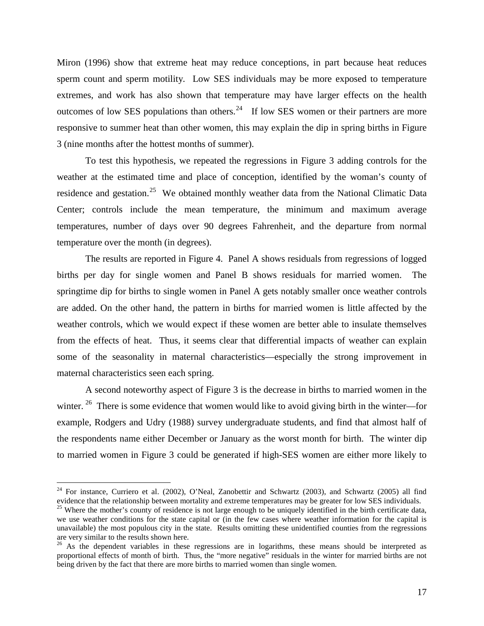Miron (1996) show that extreme heat may reduce conceptions, in part because heat reduces sperm count and sperm motility. Low SES individuals may be more exposed to temperature extremes, and work has also shown that temperature may have larger effects on the health outcomes of low SES populations than others.<sup>[24](#page-17-0)</sup> If low SES women or their partners are more responsive to summer heat than other women, this may explain the dip in spring births in Figure 3 (nine months after the hottest months of summer).

To test this hypothesis, we repeated the regressions in Figure 3 adding controls for the weather at the estimated time and place of conception, identified by the woman's county of residence and gestation.<sup>[25](#page-17-1)</sup> We obtained monthly weather data from the National Climatic Data Center; controls include the mean temperature, the minimum and maximum average temperatures, number of days over 90 degrees Fahrenheit, and the departure from normal temperature over the month (in degrees).

The results are reported in Figure 4. Panel A shows residuals from regressions of logged births per day for single women and Panel B shows residuals for married women. The springtime dip for births to single women in Panel A gets notably smaller once weather controls are added. On the other hand, the pattern in births for married women is little affected by the weather controls, which we would expect if these women are better able to insulate themselves from the effects of heat. Thus, it seems clear that differential impacts of weather can explain some of the seasonality in maternal characteristics—especially the strong improvement in maternal characteristics seen each spring.

A second noteworthy aspect of Figure 3 is the decrease in births to married women in the winter.  $2^6$  There is some evidence that women would like to avoid giving birth in the winter—for example, Rodgers and Udry (1988) survey undergraduate students, and find that almost half of the respondents name either December or January as the worst month for birth. The winter dip to married women in Figure 3 could be generated if high-SES women are either more likely to

<span id="page-17-0"></span><sup>&</sup>lt;sup>24</sup> For instance, Curriero et al. (2002), O'Neal, Zanobettir and Schwartz (2003), and Schwartz (2005) all find evidence that the relationship between mortality and extreme temperatures may be greater for low SES individuals.

<span id="page-17-1"></span><sup>&</sup>lt;sup>25</sup> Where the mother's county of residence is not large enough to be uniquely identified in the birth certificate data, we use weather conditions for the state capital or (in the few cases where weather information for the capital is unavailable) the most populous city in the state. Results omitting these unidentified counties from the regressions are very similar to the results shown here.

<span id="page-17-2"></span> $^{26}$  As the dependent variables in these regressions are in logarithms, these means should be interpreted as proportional effects of month of birth. Thus, the "more negative" residuals in the winter for married births are not being driven by the fact that there are more births to married women than single women.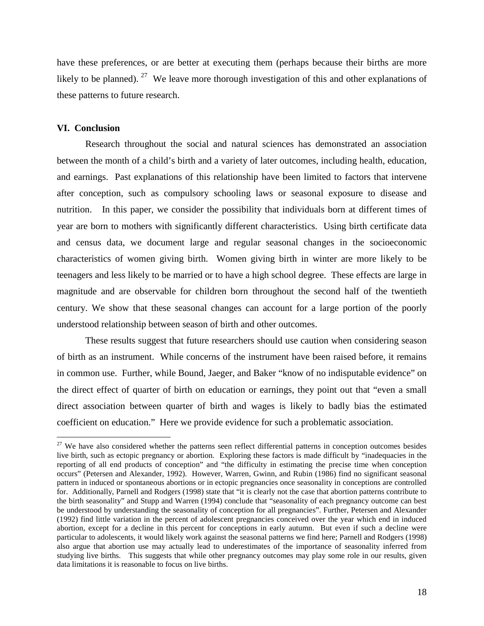have these preferences, or are better at executing them (perhaps because their births are more likely to be planned). <sup>27</sup> We leave more thorough investigation of this and other explanations of these patterns to future research.

#### **VI. Conclusion**

Research throughout the social and natural sciences has demonstrated an association between the month of a child's birth and a variety of later outcomes, including health, education, and earnings. Past explanations of this relationship have been limited to factors that intervene after conception, such as compulsory schooling laws or seasonal exposure to disease and nutrition. In this paper, we consider the possibility that individuals born at different times of year are born to mothers with significantly different characteristics. Using birth certificate data and census data, we document large and regular seasonal changes in the socioeconomic characteristics of women giving birth. Women giving birth in winter are more likely to be teenagers and less likely to be married or to have a high school degree. These effects are large in magnitude and are observable for children born throughout the second half of the twentieth century. We show that these seasonal changes can account for a large portion of the poorly understood relationship between season of birth and other outcomes.

These results suggest that future researchers should use caution when considering season of birth as an instrument. While concerns of the instrument have been raised before, it remains in common use. Further, while Bound, Jaeger, and Baker "know of no indisputable evidence" on the direct effect of quarter of birth on education or earnings, they point out that "even a small direct association between quarter of birth and wages is likely to badly bias the estimated coefficient on education." Here we provide evidence for such a problematic association.

<span id="page-18-0"></span> $27$  We have also considered whether the patterns seen reflect differential patterns in conception outcomes besides live birth, such as ectopic pregnancy or abortion. Exploring these factors is made difficult by "inadequacies in the reporting of all end products of conception" and "the difficulty in estimating the precise time when conception occurs" (Petersen and Alexander, 1992). However, Warren, Gwinn, and Rubin (1986) find no significant seasonal pattern in induced or spontaneous abortions or in ectopic pregnancies once seasonality in conceptions are controlled for. Additionally, Parnell and Rodgers (1998) state that "it is clearly not the case that abortion patterns contribute to the birth seasonality" and Stupp and Warren (1994) conclude that "seasonality of each pregnancy outcome can best be understood by understanding the seasonality of conception for all pregnancies". Further, Petersen and Alexander (1992) find little variation in the percent of adolescent pregnancies conceived over the year which end in induced abortion, except for a decline in this percent for conceptions in early autumn. But even if such a decline were particular to adolescents, it would likely work against the seasonal patterns we find here; Parnell and Rodgers (1998) also argue that abortion use may actually lead to underestimates of the importance of seasonality inferred from studying live births. This suggests that while other pregnancy outcomes may play some role in our results, given data limitations it is reasonable to focus on live births.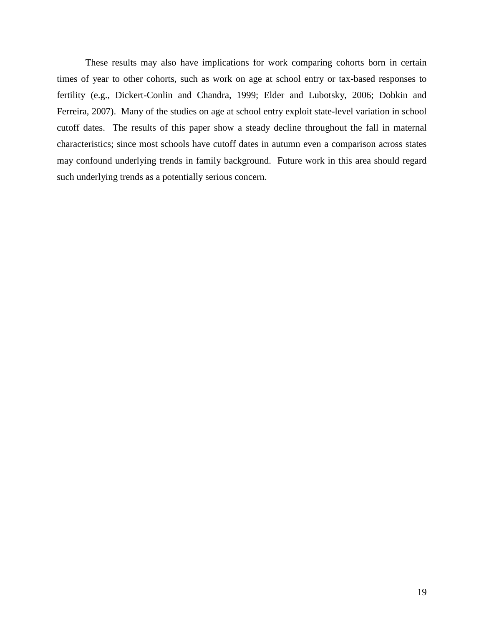These results may also have implications for work comparing cohorts born in certain times of year to other cohorts, such as work on age at school entry or tax-based responses to fertility (e.g., Dickert-Conlin and Chandra, 1999; Elder and Lubotsky, 2006; Dobkin and Ferreira, 2007). Many of the studies on age at school entry exploit state-level variation in school cutoff dates. The results of this paper show a steady decline throughout the fall in maternal characteristics; since most schools have cutoff dates in autumn even a comparison across states may confound underlying trends in family background. Future work in this area should regard such underlying trends as a potentially serious concern.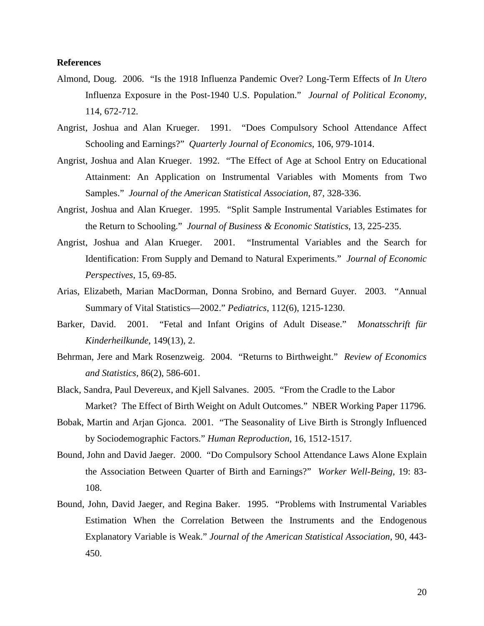# **References**

- Almond, Doug. 2006. "Is the 1918 Influenza Pandemic Over? Long-Term Effects of *In Utero* Influenza Exposure in the Post-1940 U.S. Population." *Journal of Political Economy,* 114, 672-712.
- Angrist, Joshua and Alan Krueger. 1991. "Does Compulsory School Attendance Affect Schooling and Earnings?" *Quarterly Journal of Economics,* 106, 979-1014.
- Angrist, Joshua and Alan Krueger. 1992. "The Effect of Age at School Entry on Educational Attainment: An Application on Instrumental Variables with Moments from Two Samples." *Journal of the American Statistical Association*, 87, 328-336.
- Angrist, Joshua and Alan Krueger. 1995. "Split Sample Instrumental Variables Estimates for the Return to Schooling." *Journal of Business & Economic Statistics*, 13, 225-235.
- Angrist, Joshua and Alan Krueger. 2001. "Instrumental Variables and the Search for Identification: From Supply and Demand to Natural Experiments." *Journal of Economic Perspectives*, 15, 69-85.
- Arias, Elizabeth, Marian MacDorman, Donna Srobino, and Bernard Guyer. 2003. "Annual Summary of Vital Statistics—2002." *Pediatrics*, 112(6), 1215-1230.
- Barker, David. 2001. "Fetal and Infant Origins of Adult Disease." *Monatsschrift für Kinderheilkunde*, 149(13), 2.
- Behrman, Jere and Mark Rosenzweig. 2004. "Returns to Birthweight." *Review of Economics and Statistics*, 86(2), 586-601.
- Black, Sandra, Paul Devereux, and Kjell Salvanes. 2005. "From the Cradle to the Labor Market? The Effect of Birth Weight on Adult Outcomes." NBER Working Paper 11796.
- Bobak, Martin and Arjan Gjonca. 2001. "The Seasonality of Live Birth is Strongly Influenced by Sociodemographic Factors." *Human Reproduction*, 16, 1512-1517.
- Bound, John and David Jaeger. 2000. "Do Compulsory School Attendance Laws Alone Explain the Association Between Quarter of Birth and Earnings?" *Worker Well-Being*, 19: 83- 108.
- Bound, John, David Jaeger, and Regina Baker. 1995. "Problems with Instrumental Variables Estimation When the Correlation Between the Instruments and the Endogenous Explanatory Variable is Weak." *Journal of the American Statistical Association*, 90, 443- 450.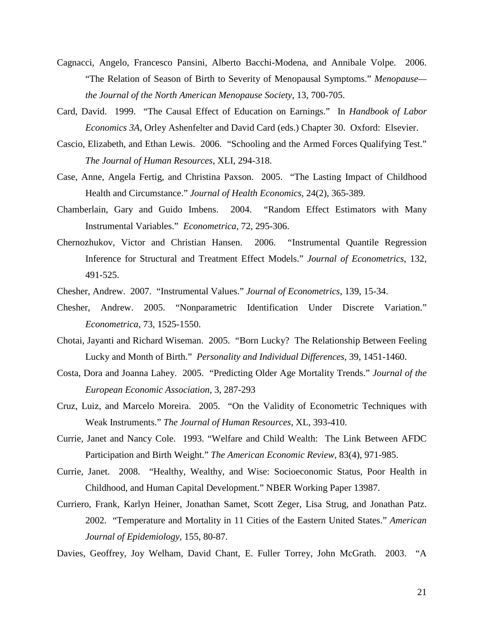- Cagnacci, Angelo, Francesco Pansini, Alberto Bacchi-Modena, and Annibale Volpe. 2006. "The Relation of Season of Birth to Severity of Menopausal Symptoms." *Menopause the Journal of the North American Menopause Society*, 13, 700-705.
- Card, David. 1999. "The Causal Effect of Education on Earnings." In *Handbook of Labor Economics 3A*, Orley Ashenfelter and David Card (eds.) Chapter 30. Oxford: Elsevier.
- Cascio, Elizabeth, and Ethan Lewis. 2006. "Schooling and the Armed Forces Qualifying Test." *The Journal of Human Resources*, XLI, 294-318.
- Case, Anne, Angela Fertig, and Christina Paxson. 2005. "The Lasting Impact of Childhood Health and Circumstance." *Journal of Health Economics*, 24(2), 365-389.
- Chamberlain, Gary and Guido Imbens. 2004. "Random Effect Estimators with Many Instrumental Variables." *Econometrica*, 72, 295-306.
- Chernozhukov, Victor and Christian Hansen. 2006. "Instrumental Quantile Regression Inference for Structural and Treatment Effect Models." *Journal of Econometrics*, 132, 491-525.
- Chesher, Andrew. 2007. "Instrumental Values." *Journal of Econometrics*, 139, 15-34.
- Chesher, Andrew. 2005. "Nonparametric Identification Under Discrete Variation." *Econometrica*, 73, 1525-1550.
- Chotai, Jayanti and Richard Wiseman. 2005. "Born Lucky? The Relationship Between Feeling Lucky and Month of Birth." *Personality and Individual Differences*, 39, 1451-1460.
- Costa, Dora and Joanna Lahey. 2005. "Predicting Older Age Mortality Trends." *Journal of the European Economic Association*, 3, 287-293
- Cruz, Luiz, and Marcelo Moreira. 2005. "On the Validity of Econometric Techniques with Weak Instruments." *The Journal of Human Resources*, XL, 393-410.
- Currie, Janet and Nancy Cole. 1993. "Welfare and Child Wealth: The Link Between AFDC Participation and Birth Weight." *The American Economic Review*, 83(4), 971-985.
- Currie, Janet. 2008. "Healthy, Wealthy, and Wise: Socioeconomic Status, Poor Health in Childhood, and Human Capital Development." NBER Working Paper 13987.
- Curriero, Frank, Karlyn Heiner, Jonathan Samet, Scott Zeger, Lisa Strug, and Jonathan Patz. 2002. "Temperature and Mortality in 11 Cities of the Eastern United States." *American Journal of Epidemiology*, 155, 80-87.
- Davies, Geoffrey, Joy Welham, David Chant, E. Fuller Torrey, John McGrath. 2003. "A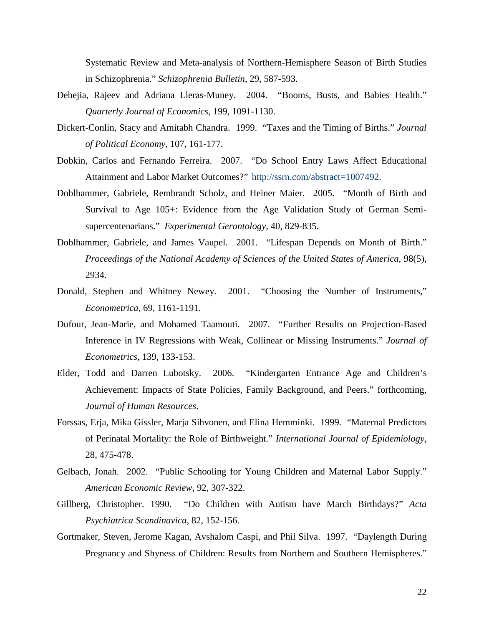Systematic Review and Meta-analysis of Northern-Hemisphere Season of Birth Studies in Schizophrenia." *Schizophrenia Bulletin*, 29, 587-593.

- Dehejia, Rajeev and Adriana Lleras-Muney. 2004. "Booms, Busts, and Babies Health." *Quarterly Journal of Economics*, 199, 1091-1130.
- Dickert-Conlin, Stacy and Amitabh Chandra. 1999. "Taxes and the Timing of Births." *Journal of Political Economy*, 107, 161-177.
- Dobkin, Carlos and Fernando Ferreira. 2007. "Do School Entry Laws Affect Educational Attainment and Labor Market Outcomes?" http://ssrn.com/abstract=1007492.
- Doblhammer, Gabriele, Rembrandt Scholz, and Heiner Maier. 2005. "Month of Birth and Survival to Age 105+: Evidence from the Age Validation Study of German Semisupercentenarians." *Experimental Gerontology*, 40, 829-835.
- Doblhammer, Gabriele, and James Vaupel. 2001. "Lifespan Depends on Month of Birth." *Proceedings of the National Academy of Sciences of the United States of America,* 98(5), 2934.
- Donald, Stephen and Whitney Newey. 2001. "Choosing the Number of Instruments," *Econometrica*, 69, 1161-1191.
- Dufour, Jean-Marie, and Mohamed Taamouti. 2007. "Further Results on Projection-Based Inference in IV Regressions with Weak, Collinear or Missing Instruments." *Journal of Econometrics*, 139, 133-153.
- Elder, Todd and Darren Lubotsky. 2006. "Kindergarten Entrance Age and Children's Achievement: Impacts of State Policies, Family Background, and Peers." forthcoming, *Journal of Human Resources*.
- Forssas, Erja, Mika Gissler, Marja Sihvonen, and Elina Hemminki. 1999. "Maternal Predictors of Perinatal Mortality: the Role of Birthweight." *International Journal of Epidemiology*, 28, 475-478.
- Gelbach, Jonah. 2002. "Public Schooling for Young Children and Maternal Labor Supply." *American Economic Review*, 92, 307-322.
- Gillberg, Christopher. 1990. "Do Children with Autism have March Birthdays?" *Acta Psychiatrica Scandinavica*, 82, 152-156.
- Gortmaker, Steven, Jerome Kagan, Avshalom Caspi, and Phil Silva. 1997. "Daylength During Pregnancy and Shyness of Children: Results from Northern and Southern Hemispheres."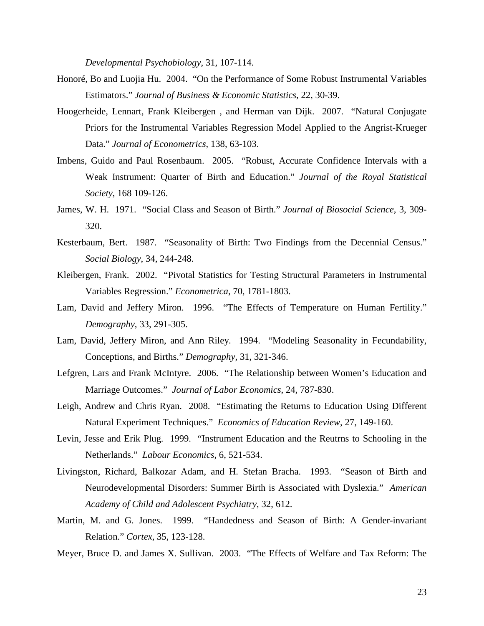*Developmental Psychobiology*, 31, 107-114.

- Honoré, Bo and Luojia Hu. 2004. "On the Performance of Some Robust Instrumental Variables Estimators." *Journal of Business & Economic Statistics*, 22, 30-39.
- Hoogerheide, Lennart, Frank Kleibergen , and Herman van Dijk. 2007. "Natural Conjugate Priors for the Instrumental Variables Regression Model Applied to the Angrist-Krueger Data." *Journal of Econometrics*, 138, 63-103.
- Imbens, Guido and Paul Rosenbaum. 2005. "Robust, Accurate Confidence Intervals with a Weak Instrument: Quarter of Birth and Education." *Journal of the Royal Statistical Society*, 168 109-126.
- James, W. H. 1971. "Social Class and Season of Birth." *Journal of Biosocial Science*, 3, 309- 320.
- Kesterbaum, Bert. 1987. "Seasonality of Birth: Two Findings from the Decennial Census." *Social Biology*, 34, 244-248.
- Kleibergen, Frank. 2002. "Pivotal Statistics for Testing Structural Parameters in Instrumental Variables Regression." *Econometrica*, 70, 1781-1803.
- Lam, David and Jeffery Miron. 1996. "The Effects of Temperature on Human Fertility." *Demography*, 33, 291-305.
- Lam, David, Jeffery Miron, and Ann Riley. 1994. "Modeling Seasonality in Fecundability, Conceptions, and Births." *Demography*, 31, 321-346.
- Lefgren, Lars and Frank McIntyre. 2006. "The Relationship between Women's Education and Marriage Outcomes." *Journal of Labor Economics*, 24, 787-830.
- Leigh, Andrew and Chris Ryan. 2008. "Estimating the Returns to Education Using Different Natural Experiment Techniques." *Economics of Education Review*, 27, 149-160.
- Levin, Jesse and Erik Plug. 1999. "Instrument Education and the Reutrns to Schooling in the Netherlands." *Labour Economics*, 6, 521-534.
- Livingston, Richard, Balkozar Adam, and H. Stefan Bracha. 1993. "Season of Birth and Neurodevelopmental Disorders: Summer Birth is Associated with Dyslexia." *American Academy of Child and Adolescent Psychiatry*, 32, 612.
- Martin, M. and G. Jones. 1999. "Handedness and Season of Birth: A Gender-invariant Relation." *Cortex*, 35, 123-128.
- Meyer, Bruce D. and James X. Sullivan. 2003. "The Effects of Welfare and Tax Reform: The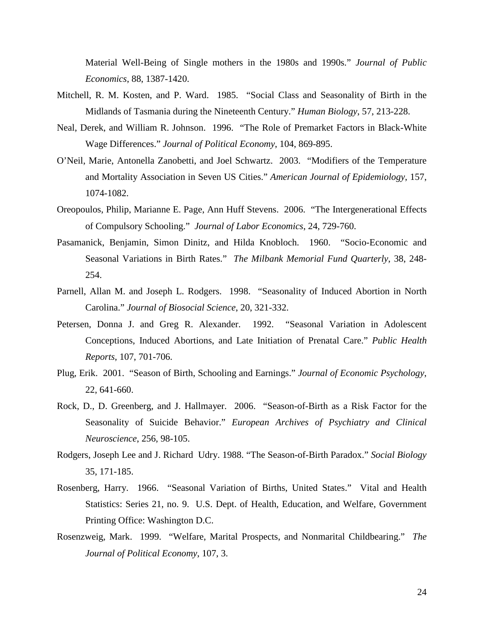Material Well-Being of Single mothers in the 1980s and 1990s." *Journal of Public Economics*, 88, 1387-1420.

- Mitchell, R. M. Kosten, and P. Ward. 1985. "Social Class and Seasonality of Birth in the Midlands of Tasmania during the Nineteenth Century." *Human Biology*, 57, 213-228.
- Neal, Derek, and William R. Johnson. 1996. "The Role of Premarket Factors in Black-White Wage Differences." *Journal of Political Economy*, 104, 869-895.
- O'Neil, Marie, Antonella Zanobetti, and Joel Schwartz. 2003. "Modifiers of the Temperature and Mortality Association in Seven US Cities." *American Journal of Epidemiology*, 157, 1074-1082.
- Oreopoulos, Philip, Marianne E. Page, Ann Huff Stevens. 2006. "The Intergenerational Effects of Compulsory Schooling." *Journal of Labor Economics*, 24, 729-760.
- Pasamanick, Benjamin, Simon Dinitz, and Hilda Knobloch. 1960. "Socio-Economic and Seasonal Variations in Birth Rates." *The Milbank Memorial Fund Quarterly*, 38, 248- 254.
- Parnell, Allan M. and Joseph L. Rodgers. 1998. "Seasonality of Induced Abortion in North Carolina." *Journal of Biosocial Science*, 20, 321-332.
- Petersen, Donna J. and Greg R. Alexander. 1992. "Seasonal Variation in Adolescent Conceptions, Induced Abortions, and Late Initiation of Prenatal Care." *Public Health Reports*, 107, 701-706.
- Plug, Erik. 2001. "Season of Birth, Schooling and Earnings." *Journal of Economic Psychology*, 22, 641-660.
- Rock, D., D. Greenberg, and J. Hallmayer. 2006. "Season-of-Birth as a Risk Factor for the Seasonality of Suicide Behavior." *European Archives of Psychiatry and Clinical Neuroscience*, 256, 98-105.
- Rodgers, Joseph Lee and J. Richard Udry. 1988. "The Season-of-Birth Paradox." *Social Biology* 35, 171-185.
- Rosenberg, Harry. 1966. "Seasonal Variation of Births, United States." Vital and Health Statistics: Series 21, no. 9. U.S. Dept. of Health, Education, and Welfare, Government Printing Office: Washington D.C.
- Rosenzweig, Mark. 1999. "Welfare, Marital Prospects, and Nonmarital Childbearing." *The Journal of Political Economy*, 107, 3.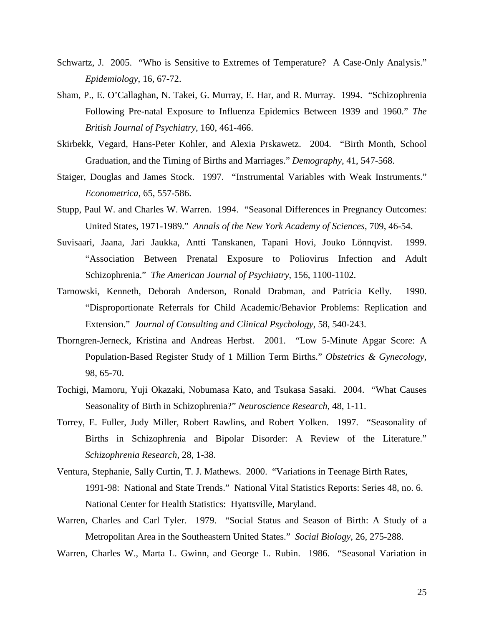- Schwartz, J. 2005. "Who is Sensitive to Extremes of Temperature? A Case-Only Analysis." *Epidemiology*, 16, 67-72.
- Sham, P., E. O'Callaghan, N. Takei, G. Murray, E. Har, and R. Murray. 1994. "Schizophrenia Following Pre-natal Exposure to Influenza Epidemics Between 1939 and 1960." *The British Journal of Psychiatry*, 160, 461-466.
- Skirbekk, Vegard, Hans-Peter Kohler, and Alexia Prskawetz. 2004. "Birth Month, School Graduation, and the Timing of Births and Marriages." *Demography*, 41, 547-568.
- Staiger, Douglas and James Stock. 1997. "Instrumental Variables with Weak Instruments." *Econometrica*, 65, 557-586.
- Stupp, Paul W. and Charles W. Warren. 1994. "Seasonal Differences in Pregnancy Outcomes: United States, 1971-1989." *Annals of the New York Academy of Sciences*, 709, 46-54.
- Suvisaari, Jaana, Jari Jaukka, Antti Tanskanen, Tapani Hovi, Jouko Lönnqvist. 1999. "Association Between Prenatal Exposure to Poliovirus Infection and Adult Schizophrenia." *The American Journal of Psychiatry*, 156, 1100-1102.
- Tarnowski, Kenneth, Deborah Anderson, Ronald Drabman, and Patricia Kelly. 1990. "Disproportionate Referrals for Child Academic/Behavior Problems: Replication and Extension." *Journal of Consulting and Clinical Psychology*, 58, 540-243.
- Thorngren-Jerneck, Kristina and Andreas Herbst. 2001. "Low 5-Minute Apgar Score: A Population-Based Register Study of 1 Million Term Births." *Obstetrics & Gynecology,* 98, 65-70.
- Tochigi, Mamoru, Yuji Okazaki, Nobumasa Kato, and Tsukasa Sasaki. 2004. "What Causes Seasonality of Birth in Schizophrenia?" *Neuroscience Research*, 48, 1-11.
- Torrey, E. Fuller, Judy Miller, Robert Rawlins, and Robert Yolken. 1997. "Seasonality of Births in Schizophrenia and Bipolar Disorder: A Review of the Literature." *Schizophrenia Research*, 28, 1-38.
- Ventura, Stephanie, Sally Curtin, T. J. Mathews. 2000. "Variations in Teenage Birth Rates, 1991-98: National and State Trends." National Vital Statistics Reports: Series 48, no. 6. National Center for Health Statistics: Hyattsville, Maryland.
- Warren, Charles and Carl Tyler. 1979. "Social Status and Season of Birth: A Study of a Metropolitan Area in the Southeastern United States." *Social Biology*, 26, 275-288.
- Warren, Charles W., Marta L. Gwinn, and George L. Rubin. 1986. "Seasonal Variation in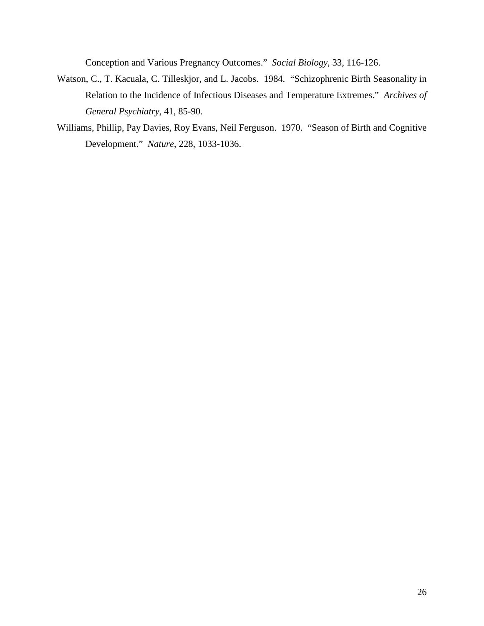Conception and Various Pregnancy Outcomes." *Social Biology*, 33, 116-126.

- Watson, C., T. Kacuala, C. Tilleskjor, and L. Jacobs. 1984. "Schizophrenic Birth Seasonality in Relation to the Incidence of Infectious Diseases and Temperature Extremes." *Archives of General Psychiatry*, 41, 85-90.
- Williams, Phillip, Pay Davies, Roy Evans, Neil Ferguson. 1970. "Season of Birth and Cognitive Development." *Nature*, 228, 1033-1036.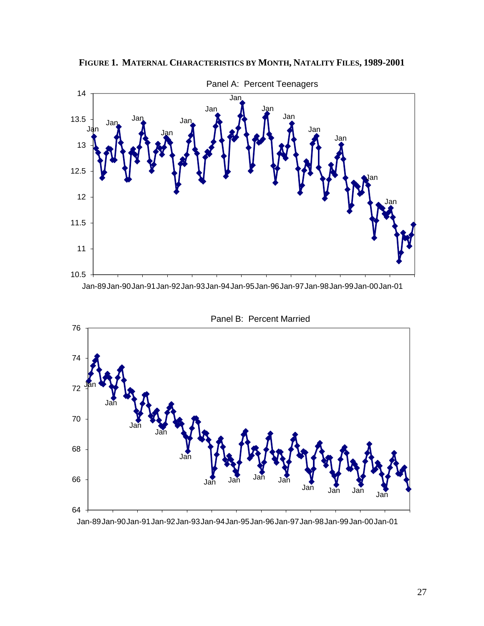

**FIGURE 1. MATERNAL CHARACTERISTICS BY MONTH, NATALITY FILES, 1989-2001**

Jan-89Jan-90Jan-91Jan-92Jan-93Jan-94Jan-95Jan-96Jan-97Jan-98Jan-99Jan-00Jan-01



Panel B: Percent Married

Jan-89Jan-90Jan-91Jan-92Jan-93Jan-94Jan-95Jan-96Jan-97Jan-98Jan-99Jan-00Jan-01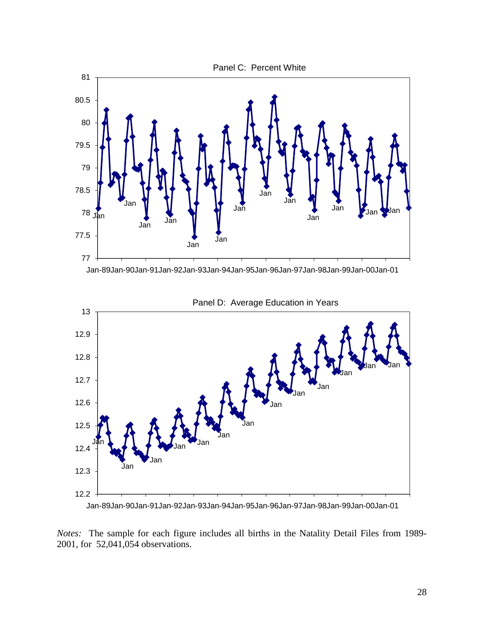



Panel D: Average Education in Years

Jan-89Jan-90Jan-91Jan-92Jan-93Jan-94Jan-95Jan-96Jan-97Jan-98Jan-99Jan-00Jan-01

*Notes:* The sample for each figure includes all births in the Natality Detail Files from 1989- 2001, for 52,041,054 observations.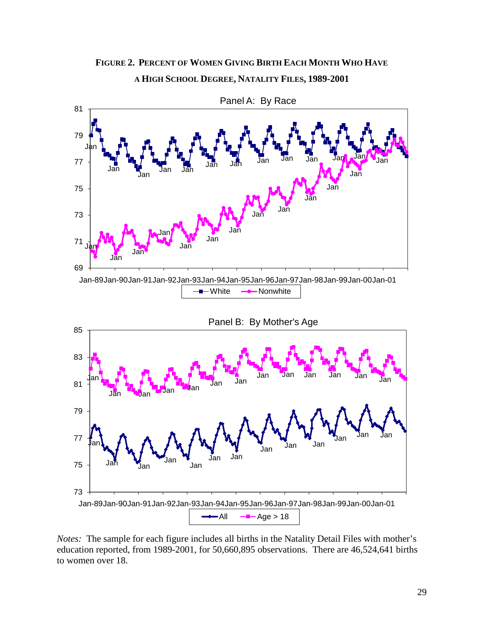

**FIGURE 2. PERCENT OF WOMEN GIVING BIRTH EACH MONTH WHO HAVE A HIGH SCHOOL DEGREE, NATALITY FILES, 1989-2001**

*Notes:* The sample for each figure includes all births in the Natality Detail Files with mother's education reported, from 1989-2001, for 50,660,895 observations. There are 46,524,641 births to women over 18.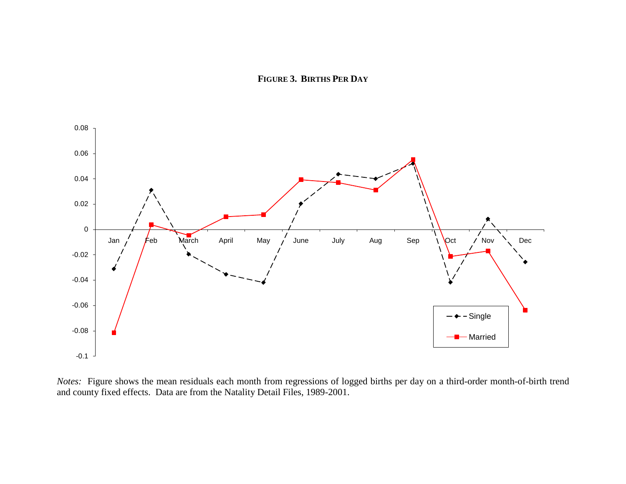**FIGURE 3. BIRTHS PER DAY**



*Notes:* Figure shows the mean residuals each month from regressions of logged births per day on a third-order month-of-birth trend and county fixed effects. Data are from the Natality Detail Files, 1989-2001.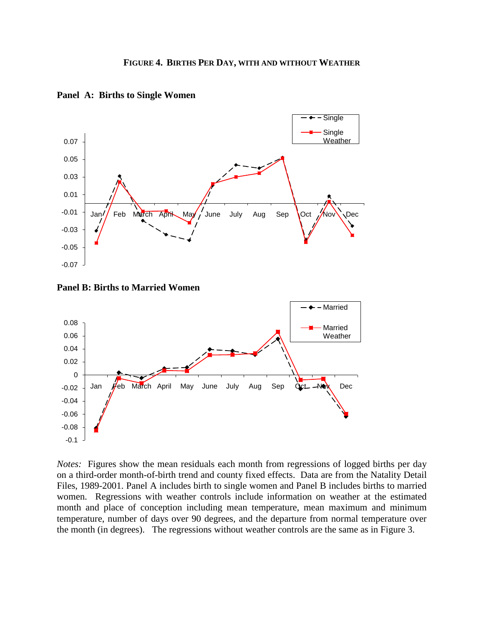

**Panel A: Births to Single Women**

**Panel B: Births to Married Women**



*Notes:* Figures show the mean residuals each month from regressions of logged births per day on a third-order month-of-birth trend and county fixed effects. Data are from the Natality Detail Files, 1989-2001. Panel A includes birth to single women and Panel B includes births to married women. Regressions with weather controls include information on weather at the estimated month and place of conception including mean temperature, mean maximum and minimum temperature, number of days over 90 degrees, and the departure from normal temperature over the month (in degrees). The regressions without weather controls are the same as in Figure 3.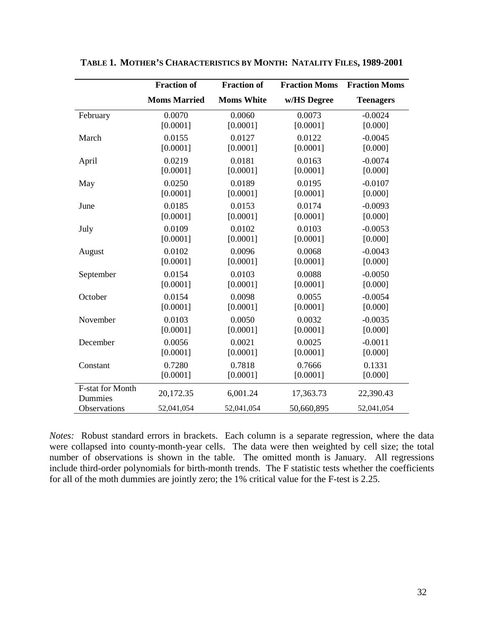|                                    | <b>Fraction of</b>  | <b>Fraction of</b> | <b>Fraction Moms</b> | <b>Fraction Moms</b> |
|------------------------------------|---------------------|--------------------|----------------------|----------------------|
|                                    | <b>Moms Married</b> | <b>Moms White</b>  | w/HS Degree          | <b>Teenagers</b>     |
| February                           | 0.0070              | 0.0060             | 0.0073               | $-0.0024$            |
|                                    | [0.0001]            | [0.0001]           | [0.0001]             | [0.000]              |
| March                              | 0.0155              | 0.0127             | 0.0122               | $-0.0045$            |
|                                    | [0.0001]            | [0.0001]           | [0.0001]             | [0.000]              |
| April                              | 0.0219              | 0.0181             | 0.0163               | $-0.0074$            |
|                                    | [0.0001]            | [0.0001]           | [0.0001]             | [0.000]              |
| May                                | 0.0250              | 0.0189             | 0.0195               | $-0.0107$            |
|                                    | [0.0001]            | [0.0001]           | [0.0001]             | [0.000]              |
| June                               | 0.0185              | 0.0153             | 0.0174               | $-0.0093$            |
|                                    | [0.0001]            | [0.0001]           | [0.0001]             | [0.000]              |
| July                               | 0.0109              | 0.0102             | 0.0103               | $-0.0053$            |
|                                    | [0.0001]            | [0.0001]           | [0.0001]             | [0.000]              |
| August                             | 0.0102              | 0.0096             | 0.0068               | $-0.0043$            |
|                                    | [0.0001]            | [0.0001]           | [0.0001]             | [0.000]              |
| September                          | 0.0154              | 0.0103             | 0.0088               | $-0.0050$            |
|                                    | [0.0001]            | [0.0001]           | [0.0001]             | [0.000]              |
| October                            | 0.0154              | 0.0098             | 0.0055               | $-0.0054$            |
|                                    | [0.0001]            | [0.0001]           | [0.0001]             | [0.000]              |
| November                           | 0.0103              | 0.0050             | 0.0032               | $-0.0035$            |
|                                    | [0.0001]            | [0.0001]           | [0.0001]             | [0.000]              |
| December                           | 0.0056              | 0.0021             | 0.0025               | $-0.0011$            |
|                                    | [0.0001]            | [0.0001]           | [0.0001]             | [0.000]              |
| Constant                           | 0.7280              | 0.7818             | 0.7666               | 0.1331               |
|                                    | [0.0001]            | [0.0001]           | [0.0001]             | [0.000]              |
| <b>F-stat for Month</b><br>Dummies | 20,172.35           | 6,001.24           | 17,363.73            | 22,390.43            |
| Observations                       | 52,041,054          | 52,041,054         | 50,660,895           | 52,041,054           |

**TABLE 1. MOTHER'S CHARACTERISTICS BY MONTH: NATALITY FILES, 1989-2001**

*Notes:* Robust standard errors in brackets. Each column is a separate regression, where the data were collapsed into county-month-year cells. The data were then weighted by cell size; the total number of observations is shown in the table. The omitted month is January. All regressions include third-order polynomials for birth-month trends. The F statistic tests whether the coefficients for all of the moth dummies are jointly zero; the 1% critical value for the F-test is 2.25.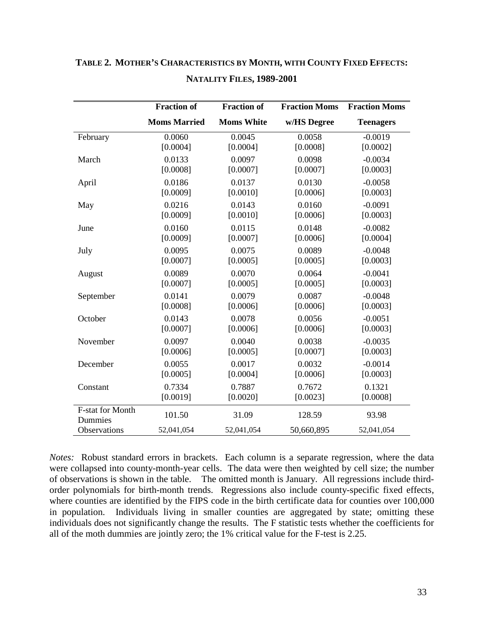|                             | <b>Fraction of</b>  | <b>Fraction of</b> | <b>Fraction Moms</b> | <b>Fraction Moms</b> |
|-----------------------------|---------------------|--------------------|----------------------|----------------------|
|                             | <b>Moms Married</b> | <b>Moms White</b>  | w/HS Degree          | <b>Teenagers</b>     |
| February                    | 0.0060              | 0.0045             | 0.0058               | $-0.0019$            |
|                             | [0.0004]            | [0.0004]           | [0.0008]             | [0.0002]             |
| March                       | 0.0133              | 0.0097             | 0.0098               | $-0.0034$            |
|                             | [0.0008]            | [0.0007]           | [0.0007]             | [0.0003]             |
| April                       | 0.0186              | 0.0137             | 0.0130               | $-0.0058$            |
|                             | [0.0009]            | [0.0010]           | [0.0006]             | [0.0003]             |
| May                         | 0.0216              | 0.0143             | 0.0160               | $-0.0091$            |
|                             | [0.0009]            | [0.0010]           | [0.0006]             | [0.0003]             |
| June                        | 0.0160              | 0.0115             | 0.0148               | $-0.0082$            |
|                             | [0.0009]            | [0.0007]           | [0.0006]             | [0.0004]             |
| July                        | 0.0095              | 0.0075             | 0.0089               | $-0.0048$            |
|                             | [0.0007]            | [0.0005]           | [0.0005]             | [0.0003]             |
| August                      | 0.0089              | 0.0070             | 0.0064               | $-0.0041$            |
|                             | [0.0007]            | [0.0005]           | [0.0005]             | [0.0003]             |
| September                   | 0.0141              | 0.0079             | 0.0087               | $-0.0048$            |
|                             | [0.0008]            | [0.0006]           | [0.0006]             | [0.0003]             |
| October                     | 0.0143              | 0.0078             | 0.0056               | $-0.0051$            |
|                             | [0.0007]            | [0.0006]           | [0.0006]             | [0.0003]             |
| November                    | 0.0097              | 0.0040             | 0.0038               | $-0.0035$            |
|                             | [0.0006]            | [0.0005]           | [0.0007]             | [0.0003]             |
| December                    | 0.0055              | 0.0017             | 0.0032               | $-0.0014$            |
|                             | [0.0005]            | [0.0004]           | [0.0006]             | [0.0003]             |
| Constant                    | 0.7334              | 0.7887             | 0.7672               | 0.1321               |
|                             | [0.0019]            | [0.0020]           | [0.0023]             | [0.0008]             |
| F-stat for Month<br>Dummies | 101.50              | 31.09              | 128.59               | 93.98                |
| Observations                | 52,041,054          | 52,041,054         | 50,660,895           | 52,041,054           |

# **TABLE 2. MOTHER'S CHARACTERISTICS BY MONTH, WITH COUNTY FIXED EFFECTS: NATALITY FILES, 1989-2001**

*Notes:* Robust standard errors in brackets. Each column is a separate regression, where the data were collapsed into county-month-year cells. The data were then weighted by cell size; the number of observations is shown in the table. The omitted month is January. All regressions include thirdorder polynomials for birth-month trends. Regressions also include county-specific fixed effects, where counties are identified by the FIPS code in the birth certificate data for counties over 100,000 in population. Individuals living in smaller counties are aggregated by state; omitting these individuals does not significantly change the results. The F statistic tests whether the coefficients for all of the moth dummies are jointly zero; the 1% critical value for the F-test is 2.25.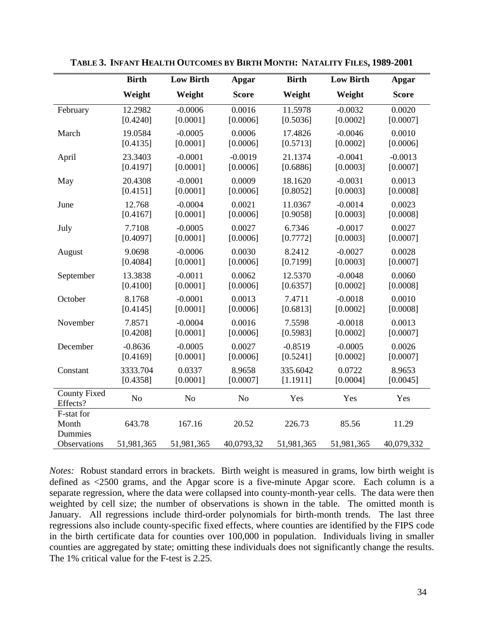|                                 | <b>Birth</b>   | <b>Low Birth</b> | <b>Apgar</b>   | <b>Birth</b> | <b>Low Birth</b> | <b>Apgar</b> |
|---------------------------------|----------------|------------------|----------------|--------------|------------------|--------------|
|                                 | Weight         | Weight           | <b>Score</b>   | Weight       | Weight           | <b>Score</b> |
| February                        | 12.2982        | $-0.0006$        | 0.0016         | 11.5978      | $-0.0032$        | 0.0020       |
|                                 | [0.4240]       | [0.0001]         | [0.0006]       | [0.5036]     | [0.0002]         | [0.0007]     |
| March                           | 19.0584        | $-0.0005$        | 0.0006         | 17.4826      | $-0.0046$        | 0.0010       |
|                                 | [0.4135]       | [0.0001]         | [0.0006]       | [0.5713]     | [0.0002]         | [0.0006]     |
| April                           | 23.3403        | $-0.0001$        | $-0.0019$      | 21.1374      | $-0.0041$        | $-0.0013$    |
|                                 | [0.4197]       | [0.0001]         | [0.0006]       | [0.6886]     | [0.0003]         | [0.0007]     |
| May                             | 20.4308        | $-0.0001$        | 0.0009         | 18.1620      | $-0.0031$        | 0.0013       |
|                                 | [0.4151]       | [0.0001]         | [0.0006]       | [0.8052]     | [0.0003]         | [0.0008]     |
| June                            | 12.768         | $-0.0004$        | 0.0021         | 11.0367      | $-0.0014$        | 0.0023       |
|                                 | [0.4167]       | [0.0001]         | [0.0006]       | [0.9058]     | [0.0003]         | [0.0008]     |
| July                            | 7.7108         | $-0.0005$        | 0.0027         | 6.7346       | $-0.0017$        | 0.0027       |
|                                 | [0.4097]       | [0.0001]         | [0.0006]       | [0.7772]     | [0.0003]         | [0.0007]     |
| August                          | 9.0698         | $-0.0006$        | 0.0030         | 8.2412       | $-0.0027$        | 0.0028       |
|                                 | [0.4084]       | [0.0001]         | [0.0006]       | [0.7199]     | [0.0003]         | [0.0007]     |
| September                       | 13.3838        | $-0.0011$        | 0.0062         | 12.5370      | $-0.0048$        | 0.0060       |
|                                 | [0.4100]       | [0.0001]         | [0.0006]       | [0.6357]     | [0.0002]         | [0.0008]     |
| October                         | 8.1768         | $-0.0001$        | 0.0013         | 7.4711       | $-0.0018$        | 0.0010       |
|                                 | [0.4145]       | [0.0001]         | [0.0006]       | [0.6813]     | [0.0002]         | [0.0008]     |
| November                        | 7.8571         | $-0.0004$        | 0.0016         | 7.5598       | $-0.0018$        | 0.0013       |
|                                 | [0.4208]       | [0.0001]         | [0.0006]       | [0.5983]     | [0.0002]         | [0.0007]     |
| December                        | $-0.8636$      | $-0.0005$        | 0.0027         | $-0.8519$    | $-0.0005$        | 0.0026       |
|                                 | [0.4169]       | [0.0001]         | [0.0006]       | [0.5241]     | [0.0002]         | [0.0007]     |
| Constant                        | 3333.704       | 0.0337           | 8.9658         | 335.6042     | 0.0722           | 8.9653       |
|                                 | [0.4358]       | [0.0001]         | [0.0007]       | [1.1911]     | [0.0004]         | [0.0045]     |
| <b>County Fixed</b><br>Effects? | N <sub>o</sub> | N <sub>o</sub>   | N <sub>o</sub> | Yes          | Yes              | Yes          |
| F-stat for<br>Month<br>Dummies  | 643.78         | 167.16           | 20.52          | 226.73       | 85.56            | 11.29        |
| Observations                    | 51,981,365     | 51,981,365       | 40,0793,32     | 51,981,365   | 51,981,365       | 40,079,332   |

**TABLE 3. INFANT HEALTH OUTCOMES BY BIRTH MONTH: NATALITY FILES, 1989-2001**

*Notes:* Robust standard errors in brackets. Birth weight is measured in grams, low birth weight is defined as <2500 grams, and the Apgar score is a five-minute Apgar score. Each column is a separate regression, where the data were collapsed into county-month-year cells. The data were then weighted by cell size; the number of observations is shown in the table. The omitted month is January. All regressions include third-order polynomials for birth-month trends. The last three regressions also include county-specific fixed effects, where counties are identified by the FIPS code in the birth certificate data for counties over 100,000 in population. Individuals living in smaller counties are aggregated by state; omitting these individuals does not significantly change the results. The 1% critical value for the F-test is 2.25.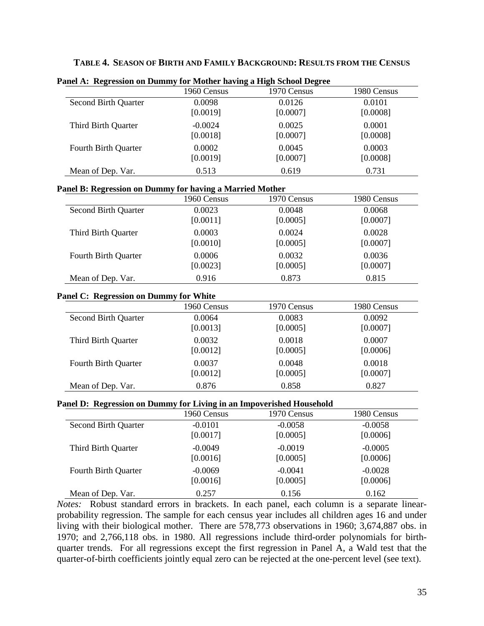| TABLE 4. SEASON OF BIRTH AND FAMILY BACKGROUND: RESULTS FROM THE CENSUS |  |
|-------------------------------------------------------------------------|--|
|-------------------------------------------------------------------------|--|

| ance A. Regression on Dunnity for tributer having a fligh school Degree |             |             |             |
|-------------------------------------------------------------------------|-------------|-------------|-------------|
|                                                                         | 1960 Census | 1970 Census | 1980 Census |
| <b>Second Birth Quarter</b>                                             | 0.0098      | 0.0126      | 0.0101      |
|                                                                         | [0.0019]    | [0.0007]    | [0.0008]    |
| Third Birth Quarter                                                     | $-0.0024$   | 0.0025      | 0.0001      |
|                                                                         | [0.0018]    | [0.0007]    | [0.0008]    |
| Fourth Birth Quarter                                                    | 0.0002      | 0.0045      | 0.0003      |
|                                                                         | [0.0019]    | [0.0007]    | [0.0008]    |
| Mean of Dep. Var.                                                       | 0.513       | 0.619       | 0.731       |

**Panel A: Regression on Dummy for Mother having a High School Degree**

#### **Panel B: Regression on Dummy for having a Married Mother**

|                      | 1960 Census | 1970 Census | 1980 Census |
|----------------------|-------------|-------------|-------------|
| Second Birth Quarter | 0.0023      | 0.0048      | 0.0068      |
|                      | [0.0011]    | [0.0005]    | [0.0007]    |
| Third Birth Quarter  | 0.0003      | 0.0024      | 0.0028      |
|                      | [0.0010]    | [0.0005]    | [0.0007]    |
| Fourth Birth Quarter | 0.0006      | 0.0032      | 0.0036      |
|                      | [0.0023]    | [0.0005]    | [0.0007]    |
| Mean of Dep. Var.    | 0.916       | 0.873       | 0.815       |

# **Panel C: Regression on Dummy for White**

|                             | 1960 Census | 1970 Census | 1980 Census |
|-----------------------------|-------------|-------------|-------------|
| <b>Second Birth Quarter</b> | 0.0064      | 0.0083      | 0.0092      |
|                             | [0.0013]    | [0.0005]    | [0.0007]    |
| Third Birth Quarter         | 0.0032      | 0.0018      | 0.0007      |
|                             | [0.0012]    | [0.0005]    | [0.0006]    |
| Fourth Birth Quarter        | 0.0037      | 0.0048      | 0.0018      |
|                             | [0.0012]    | [0.0005]    | [0.0007]    |
| Mean of Dep. Var.           | 0.876       | 0.858       | 0.827       |

# **Panel D: Regression on Dummy for Living in an Impoverished Household**

| $\epsilon$                  | $\sim$      |             |             |
|-----------------------------|-------------|-------------|-------------|
|                             | 1960 Census | 1970 Census | 1980 Census |
| <b>Second Birth Quarter</b> | $-0.0101$   | $-0.0058$   | $-0.0058$   |
|                             | [0.0017]    | [0.0005]    | [0.0006]    |
| Third Birth Quarter         | $-0.0049$   | $-0.0019$   | $-0.0005$   |
|                             | [0.0016]    | [0.0005]    | [0.0006]    |
| Fourth Birth Quarter        | $-0.0069$   | $-0.0041$   | $-0.0028$   |
|                             | [0.0016]    | [0.0005]    | [0.0006]    |
| Mean of Dep. Var.           | 0.257       | 0.156       | 0.162       |

*Notes:* Robust standard errors in brackets. In each panel, each column is a separate linearprobability regression. The sample for each census year includes all children ages 16 and under living with their biological mother. There are 578,773 observations in 1960; 3,674,887 obs. in 1970; and 2,766,118 obs. in 1980. All regressions include third-order polynomials for birthquarter trends. For all regressions except the first regression in Panel A, a Wald test that the quarter-of-birth coefficients jointly equal zero can be rejected at the one-percent level (see text).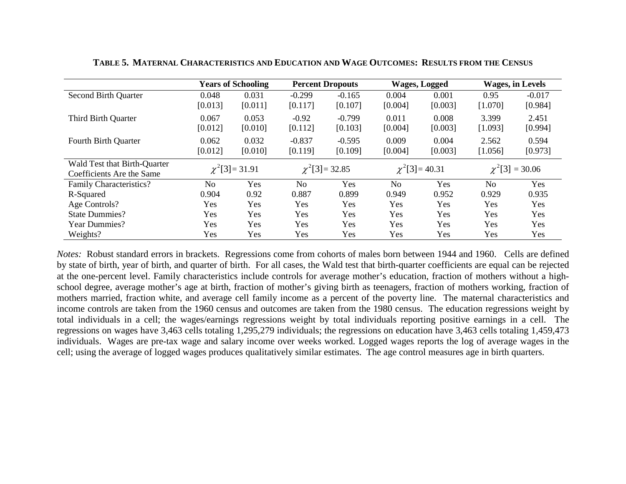|                                                           |                  | <b>Years of Schooling</b> |                     | <b>Percent Dropouts</b> |                  | <b>Wages, Logged</b> |                  | <b>Wages, in Levels</b> |
|-----------------------------------------------------------|------------------|---------------------------|---------------------|-------------------------|------------------|----------------------|------------------|-------------------------|
| <b>Second Birth Quarter</b>                               | 0.048<br>[0.013] | 0.031<br>[0.011]          | $-0.299$<br>[0.117] | $-0.165$<br>[0.107]     | 0.004<br>[0.004] | 0.001<br>[0.003]     | 0.95<br>[1.070]  | $-0.017$<br>[0.984]     |
| Third Birth Quarter                                       | 0.067<br>[0.012] | 0.053<br>[0.010]          | $-0.92$<br>[0.112]  | $-0.799$<br>[0.103]     | 0.011<br>[0.004] | 0.008<br>[0.003]     | 3.399<br>[1.093] | 2.451<br>[0.994]        |
| Fourth Birth Quarter                                      | 0.062<br>[0.012] | 0.032<br>[0.010]          | $-0.837$<br>[0.119] | $-0.595$<br>[0.109]     | 0.009<br>[0.004] | 0.004<br>[0.003]     | 2.562<br>[1.056] | 0.594<br>[0.973]        |
| Wald Test that Birth-Quarter<br>Coefficients Are the Same |                  | $\chi^2$ [3] = 31.91      |                     | $\chi^2$ [3] = 32.85    |                  | $\chi^2$ [3] = 40.31 |                  | $\chi^2$ [3] = 30.06    |
| Family Characteristics?                                   | No               | Yes                       | N <sub>0</sub>      | Yes                     | N <sub>o</sub>   | Yes                  | N <sub>o</sub>   | Yes                     |
| R-Squared                                                 | 0.904            | 0.92                      | 0.887               | 0.899                   | 0.949            | 0.952                | 0.929            | 0.935                   |
| Age Controls?                                             | Yes              | Yes                       | Yes                 | Yes                     | Yes              | Yes                  | Yes              | Yes                     |
| <b>State Dummies?</b>                                     | Yes              | Yes                       | Yes                 | Yes                     | Yes              | Yes                  | Yes              | Yes                     |
| <b>Year Dummies?</b>                                      | Yes              | Yes                       | Yes                 | Yes                     | Yes              | Yes                  | Yes              | Yes                     |
| Weights?                                                  | Yes              | Yes                       | Yes                 | Yes                     | Yes              | Yes                  | Yes              | Yes                     |

**TABLE 5. MATERNAL CHARACTERISTICS AND EDUCATION AND WAGE OUTCOMES: RESULTS FROM THE CENSUS**

*Notes:* Robust standard errors in brackets. Regressions come from cohorts of males born between 1944 and 1960. Cells are defined by state of birth, year of birth, and quarter of birth. For all cases, the Wald test that birth-quarter coefficients are equal can be rejected at the one-percent level. Family characteristics include controls for average mother's education, fraction of mothers without a highschool degree, average mother's age at birth, fraction of mother's giving birth as teenagers, fraction of mothers working, fraction of mothers married, fraction white, and average cell family income as a percent of the poverty line. The maternal characteristics and income controls are taken from the 1960 census and outcomes are taken from the 1980 census. The education regressions weight by total individuals in a cell; the wages/earnings regressions weight by total individuals reporting positive earnings in a cell. The regressions on wages have 3,463 cells totaling 1,295,279 individuals; the regressions on education have 3,463 cells totaling 1,459,473 individuals. Wages are pre-tax wage and salary income over weeks worked. Logged wages reports the log of average wages in the cell; using the average of logged wages produces qualitatively similar estimates. The age control measures age in birth quarters.